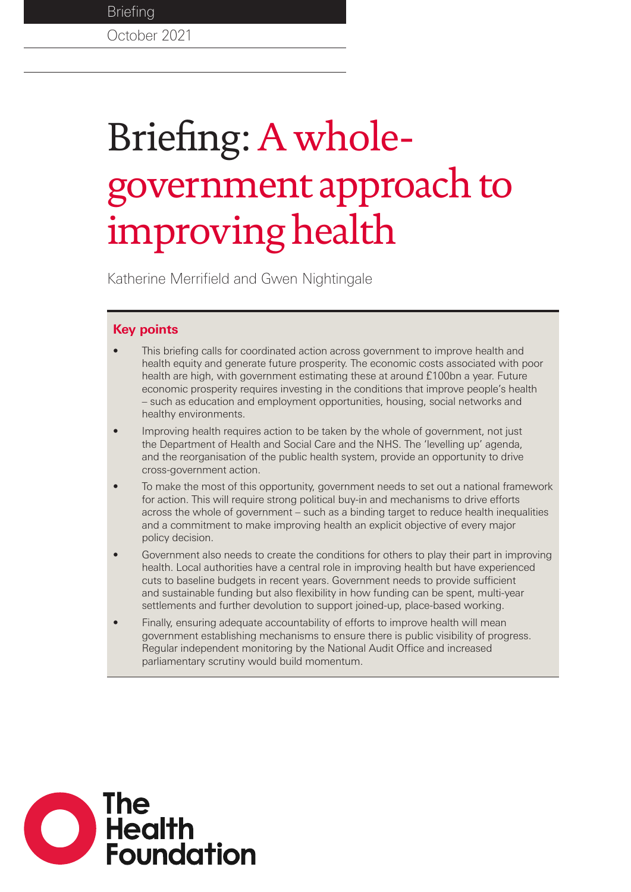# Briefing: A wholegovernment approach to improving health

Katherine Merrifield and Gwen Nightingale

## **Key points**

- This briefing calls for coordinated action across government to improve health and health equity and generate future prosperity. The economic costs associated with poor health are high, with government estimating these at around £100bn a year. Future economic prosperity requires investing in the conditions that improve people's health – such as education and employment opportunities, housing, social networks and healthy environments.
- Improving health requires action to be taken by the whole of government, not just the Department of Health and Social Care and the NHS. The 'levelling up' agenda, and the reorganisation of the public health system, provide an opportunity to drive cross-government action.
- To make the most of this opportunity, government needs to set out a national framework for action. This will require strong political buy-in and mechanisms to drive efforts across the whole of government – such as a binding target to reduce health inequalities and a commitment to make improving health an explicit objective of every major policy decision.
- Government also needs to create the conditions for others to play their part in improving health. Local authorities have a central role in improving health but have experienced cuts to baseline budgets in recent years. Government needs to provide sufficient and sustainable funding but also flexibility in how funding can be spent, multi-year settlements and further devolution to support joined-up, place-based working.
- Finally, ensuring adequate accountability of efforts to improve health will mean government establishing mechanisms to ensure there is public visibility of progress. Regular independent monitoring by the National Audit Office and increased parliamentary scrutiny would build momentum.

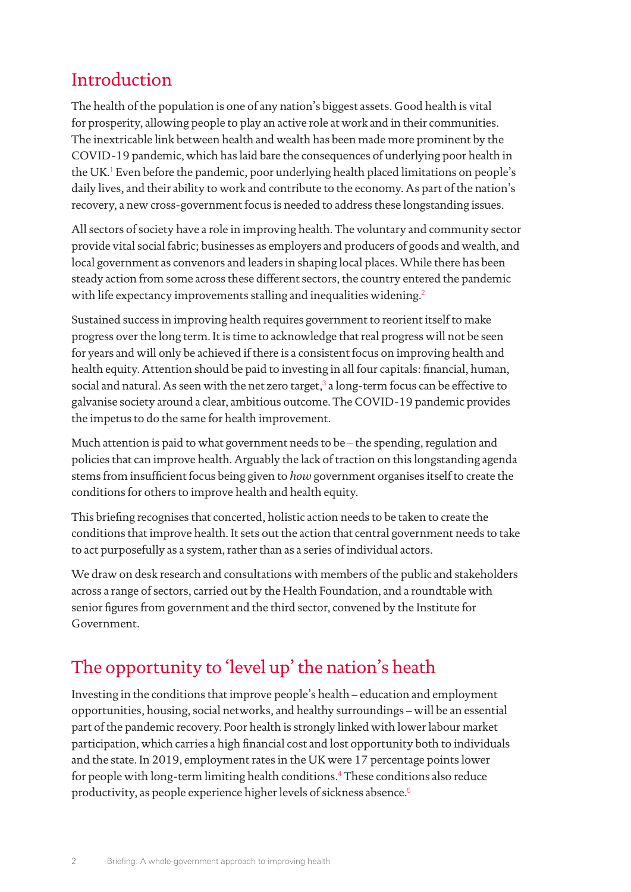# Introduction

The health of the population is one of any nation's biggest assets. Good health is vital for prosperity, allowing people to play an active role at work and in their communities. The inextricable link between health and wealth has been made more prominent by the COVID-19 pandemic, which has laid bare the consequences of underlying poor health in the UK.<sup>[1](#page-17-0)</sup> Even before the pandemic, poor underlying health placed limitations on people's daily lives, and their ability to work and contribute to the economy. As part of the nation's recovery, a new cross-government focus is needed to address these longstanding issues.

All sectors of society have a role in improving health. The voluntary and community sector provide vital social fabric; businesses as employers and producers of goods and wealth, and local government as convenors and leaders in shaping local places. While there has been steady action from some across these different sectors, the country entered the pandemic with life expectancy improvements stalling and inequalities widening.<sup>[2](#page-17-1)</sup>

Sustained success in improving health requires government to reorient itself to make progress over the long term. It is time to acknowledge that real progress will not be seen for years and will only be achieved if there is a consistent focus on improving health and health equity. Attention should be paid to investing in all four capitals: financial, human, social and natural. As seen with the net zero target, $^3$  $^3$  a long-term focus can be effective to galvanise society around a clear, ambitious outcome. The COVID-19 pandemic provides the impetus to do the same for health improvement.

Much attention is paid to what government needs to be – the spending, regulation and policies that can improve health. Arguably the lack of traction on this longstanding agenda stems from insufficient focus being given to *how* government organises itself to create the conditions for others to improve health and health equity.

This briefing recognises that concerted, holistic action needs to be taken to create the conditions that improve health. It sets out the action that central government needs to take to act purposefully as a system, rather than as a series of individual actors.

We draw on desk research and consultations with members of the public and stakeholders across a range of sectors, carried out by the Health Foundation, and a roundtable with senior figures from government and the third sector, convened by the Institute for Government.

# The opportunity to 'level up' the nation's heath

Investing in the conditions that improve people's health – education and employment opportunities, housing, social networks, and healthy surroundings – will be an essential part of the pandemic recovery. Poor health is strongly linked with lower labour market participation, which carries a high financial cost and lost opportunity both to individuals and the state. In 2019, employment rates in the UK were 17 percentage points lower for people with long-term limiting health conditions.[4](#page-17-3) These conditions also reduce productivity, as people experience higher levels of sickness absence.[5](#page-17-4)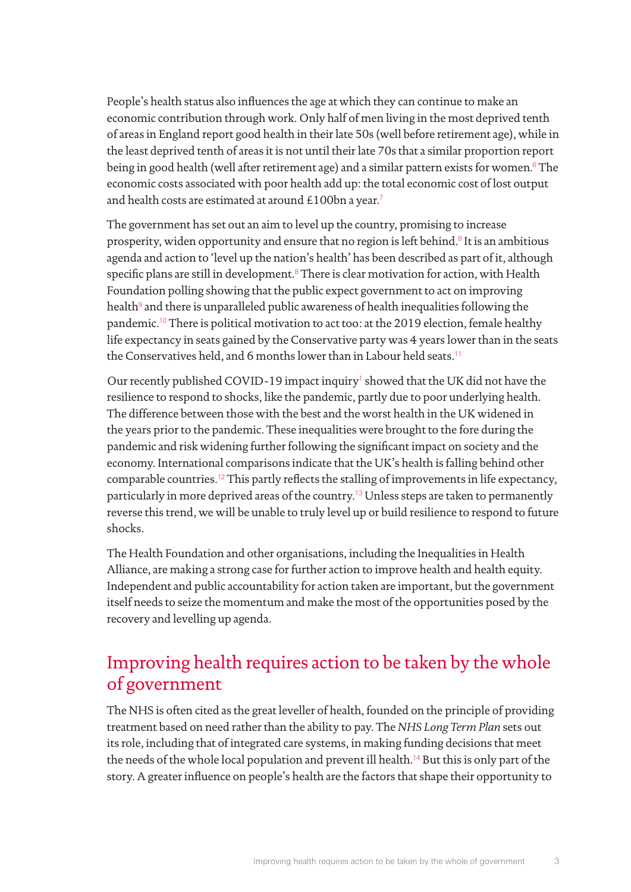People's health status also influences the age at which they can continue to make an economic contribution through work. Only half of men living in the most deprived tenth of areas in England report good health in their late 50s (well before retirement age), while in the least deprived tenth of areas it is not until their late 70s that a similar proportion report being in good health (well after retirement age) and a similar pattern exists for women.[6](#page-17-5) The economic costs associated with poor health add up: the total economic cost of lost output and health costs are estimated at around £100bn a year.<sup>[7](#page-17-6)</sup>

The government has set out an aim to level up the country, promising to increase prosperity, widen opportunity and ensure that no region is left behind.<sup>[8](#page-17-7)</sup> It is an ambitious agenda and action to 'level up the nation's health' has been described as part of it, although specific plans are still in development. $8$  There is clear motivation for action, with Health Foundation polling showing that the public expect government to act on improving health<sup>[9](#page-17-8)</sup> and there is unparalleled public awareness of health inequalities following the pandemic.[10](#page-17-9) There is political motivation to act too: at the 2019 election, female healthy life expectancy in seats gained by the Conservative party was 4 years lower than in the seats the Conservatives held, and 6 months lower than in Labour held seats.[11](#page-17-10)

Our recently published COVID-[1](#page-17-0)9 impact inquiry<sup>1</sup> showed that the UK did not have the resilience to respond to shocks, like the pandemic, partly due to poor underlying health. The difference between those with the best and the worst health in the UK widened in the years prior to the pandemic. These inequalities were brought to the fore during the pandemic and risk widening further following the significant impact on society and the economy. International comparisons indicate that the UK's health is falling behind other comparable countries.[12](#page-17-11) This partly reflects the stalling of improvements in life expectancy, particularly in more deprived areas of the country.[13](#page-17-12) Unless steps are taken to permanently reverse this trend, we will be unable to truly level up or build resilience to respond to future shocks.

The Health Foundation and other organisations, including the Inequalities in Health Alliance, are making a strong case for further action to improve health and health equity. Independent and public accountability for action taken are important, but the government itself needs to seize the momentum and make the most of the opportunities posed by the recovery and levelling up agenda.

# Improving health requires action to be taken by the whole of government

The NHS is often cited as the great leveller of health, founded on the principle of providing treatment based on need rather than the ability to pay. The *NHS Long Term Plan* sets out its role, including that of integrated care systems, in making funding decisions that meet the needs of the whole local population and prevent ill health.<sup>[14](#page-17-13)</sup> But this is only part of the story. A greater influence on people's health are the factors that shape their opportunity to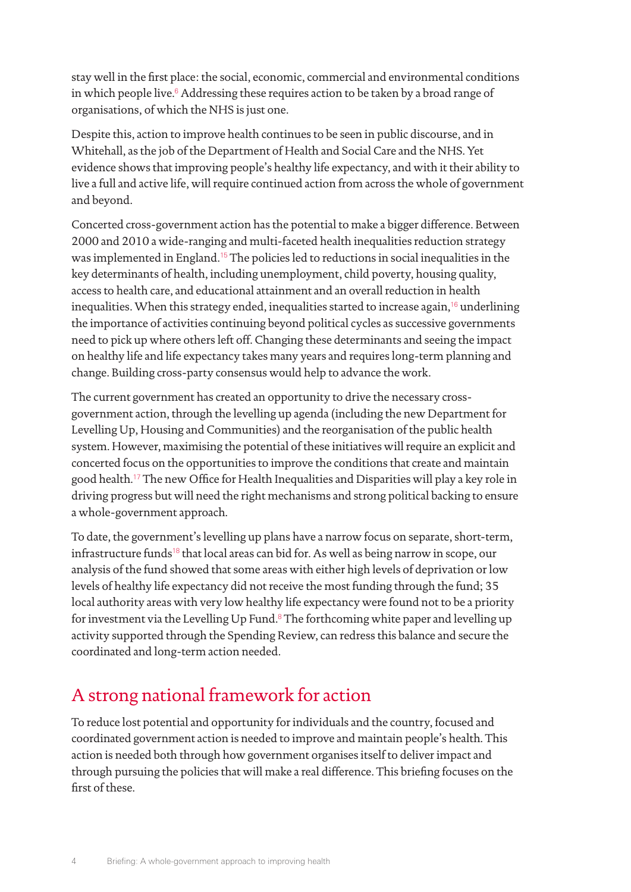stay well in the first place: the social, economic, commercial and environmental conditions in which people live.<sup>[6](#page-17-5)</sup> Addressing these requires action to be taken by a broad range of organisations, of which the NHS is just one.

Despite this, action to improve health continues to be seen in public discourse, and in Whitehall, as the job of the Department of Health and Social Care and the NHS. Yet evidence shows that improving people's healthy life expectancy, and with it their ability to live a full and active life, will require continued action from across the whole of government and beyond.

Concerted cross-government action has the potential to make a bigger difference. Between 2000 and 2010 a wide-ranging and multi-faceted health inequalities reduction strategy was implemented in England.[15](#page-17-14) The policies led to reductions in social inequalities in the key determinants of health, including unemployment, child poverty, housing quality, access to health care, and educational attainment and an overall reduction in health inequalities. When this strategy ended, inequalities started to increase again,<sup>[16](#page-17-15)</sup> underlining the importance of activities continuing beyond political cycles as successive governments need to pick up where others left off. Changing these determinants and seeing the impact on healthy life and life expectancy takes many years and requires long-term planning and change. Building cross-party consensus would help to advance the work.

The current government has created an opportunity to drive the necessary crossgovernment action, through the levelling up agenda (including the new Department for Levelling Up, Housing and Communities) and the reorganisation of the public health system. However, maximising the potential of these initiatives will require an explicit and concerted focus on the opportunities to improve the conditions that create and maintain good health.[17](#page-17-16) The new Office for Health Inequalities and Disparities will play a key role in driving progress but will need the right mechanisms and strong political backing to ensure a whole-government approach.

To date, the government's levelling up plans have a narrow focus on separate, short-term, infrastructure funds<sup>[18](#page-17-17)</sup> that local areas can bid for. As well as being narrow in scope, our analysis of the fund showed that some areas with either high levels of deprivation or low levels of healthy life expectancy did not receive the most funding through the fund; 35 local authority areas with very low healthy life expectancy were found not to be a priority for investment via the Levelling Up Fund.<sup>[8](#page-17-7)</sup> The forthcoming white paper and levelling up activity supported through the Spending Review, can redress this balance and secure the coordinated and long-term action needed.

# A strong national framework for action

To reduce lost potential and opportunity for individuals and the country, focused and coordinated government action is needed to improve and maintain people's health. This action is needed both through how government organises itself to deliver impact and through pursuing the policies that will make a real difference. This briefing focuses on the first of these.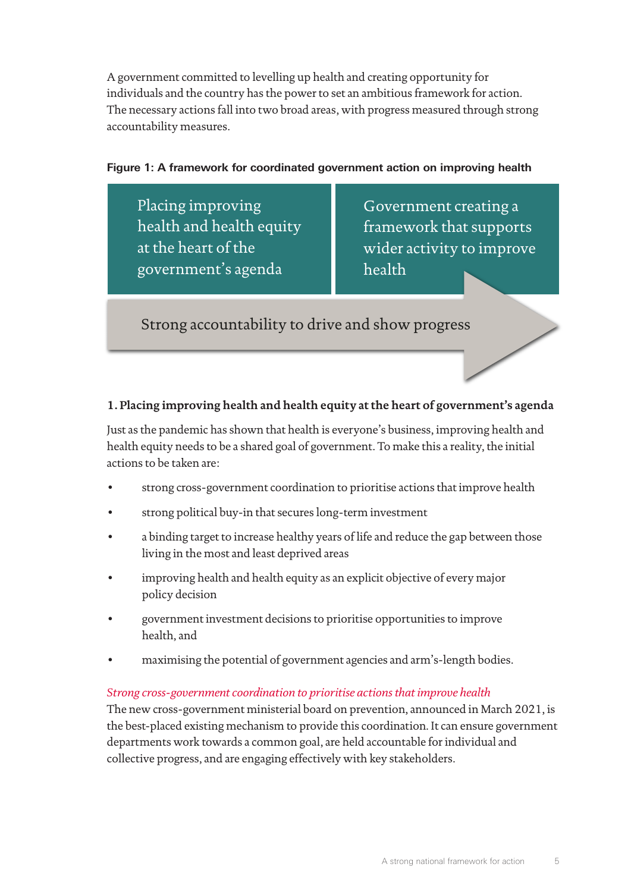A government committed to levelling up health and creating opportunity for individuals and the country has the power to set an ambitious framework for action. The necessary actions fall into two broad areas, with progress measured through strong accountability measures.

#### **Figure 1: A framework for coordinated government action on improving health**

Placing improving health and health equity at the heart of the government's agenda

Government creating a framework that supports wider activity to improve health

Strong accountability to drive and show progress

## **1. Placing improving health and health equity at the heart of government's agenda**

Just as the pandemic has shown that health is everyone's business, improving health and health equity needs to be a shared goal of government. To make this a reality, the initial actions to be taken are:

- strong cross-government coordination to prioritise actions that improve health
- strong political buy-in that secures long-term investment
- a binding target to increase healthy years of life and reduce the gap between those living in the most and least deprived areas
- improving health and health equity as an explicit objective of every major policy decision
- government investment decisions to prioritise opportunities to improve health, and
- maximising the potential of government agencies and arm's-length bodies.

#### *Strong cross-government coordination to prioritise actions that improve health*

The new cross-government ministerial board on prevention, announced in March 2021, is the best-placed existing mechanism to provide this coordination. It can ensure government departments work towards a common goal, are held accountable for individual and collective progress, and are engaging effectively with key stakeholders.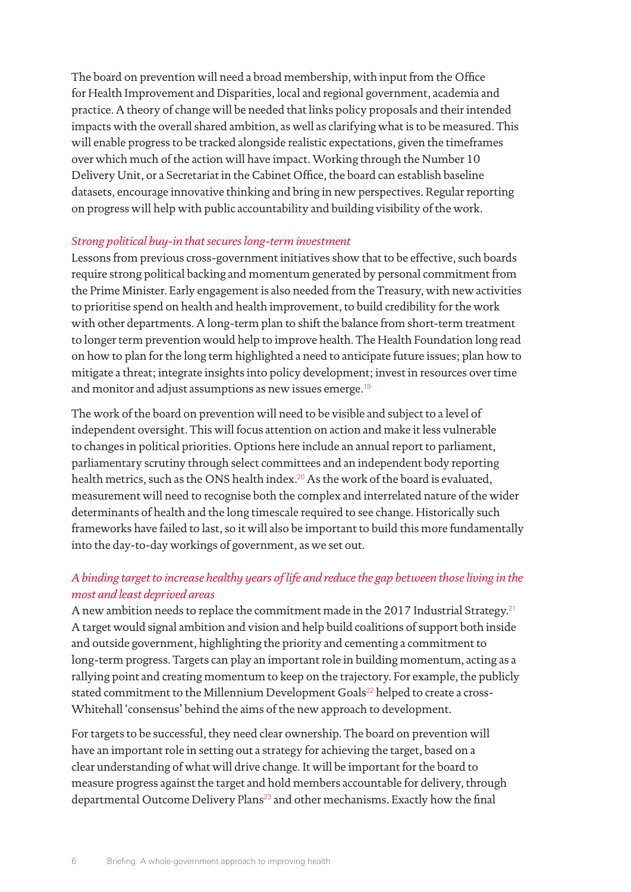The board on prevention will need a broad membership, with input from the Office for Health Improvement and Disparities, local and regional government, academia and practice. A theory of change will be needed that links policy proposals and their intended impacts with the overall shared ambition, as well as clarifying what is to be measured. This will enable progress to be tracked alongside realistic expectations, given the timeframes over which much of the action will have impact. Working through the Number 10 Delivery Unit, or a Secretariat in the Cabinet Office, the board can establish baseline datasets, encourage innovative thinking and bring in new perspectives. Regular reporting on progress will help with public accountability and building visibility of the work.

#### *Strong political buy-in that secures long-term investment*

Lessons from previous cross-government initiatives show that to be effective, such boards require strong political backing and momentum generated by personal commitment from the Prime Minister. Early engagement is also needed from the Treasury, with new activities to prioritise spend on health and health improvement, to build credibility for the work with other departments. A long-term plan to shift the balance from short-term treatment to longer term prevention would help to improve health. The Health Foundation long read on how to plan for the long term highlighted a need to anticipate future issues; plan how to mitigate a threat; integrate insights into policy development; invest in resources over time and monitor and adjust assumptions as new issues emerge.<sup>[19](#page-17-18)</sup>

The work of the board on prevention will need to be visible and subject to a level of independent oversight. This will focus attention on action and make it less vulnerable to changes in political priorities. Options here include an annual report to parliament, parliamentary scrutiny through select committees and an independent body reporting health metrics, such as the ONS health index.<sup>[20](#page-17-19)</sup> As the work of the board is evaluated, measurement will need to recognise both the complex and interrelated nature of the wider determinants of health and the long timescale required to see change. Historically such frameworks have failed to last, so it will also be important to build this more fundamentally into the day-to-day workings of government, as we set out.

## *A binding target to increase healthy years of life and reduce the gap between those living in the most and least deprived areas*

A new ambition needs to replace the commitment made in the 2017 Industrial Strategy.<sup>[21](#page-17-20)</sup> A target would signal ambition and vision and help build coalitions of support both inside and outside government, highlighting the priority and cementing a commitment to long-term progress. Targets can play an important role in building momentum, acting as a rallying point and creating momentum to keep on the trajectory. For example, the publicly stated commitment to the Millennium Development Goals<sup>[22](#page-17-21)</sup> helped to create a cross-Whitehall 'consensus' behind the aims of the new approach to development.

For targets to be successful, they need clear ownership. The board on prevention will have an important role in setting out a strategy for achieving the target, based on a clear understanding of what will drive change. It will be important for the board to measure progress against the target and hold members accountable for delivery, through departmental Outcome Delivery Plans<sup>[23](#page-17-22)</sup> and other mechanisms. Exactly how the final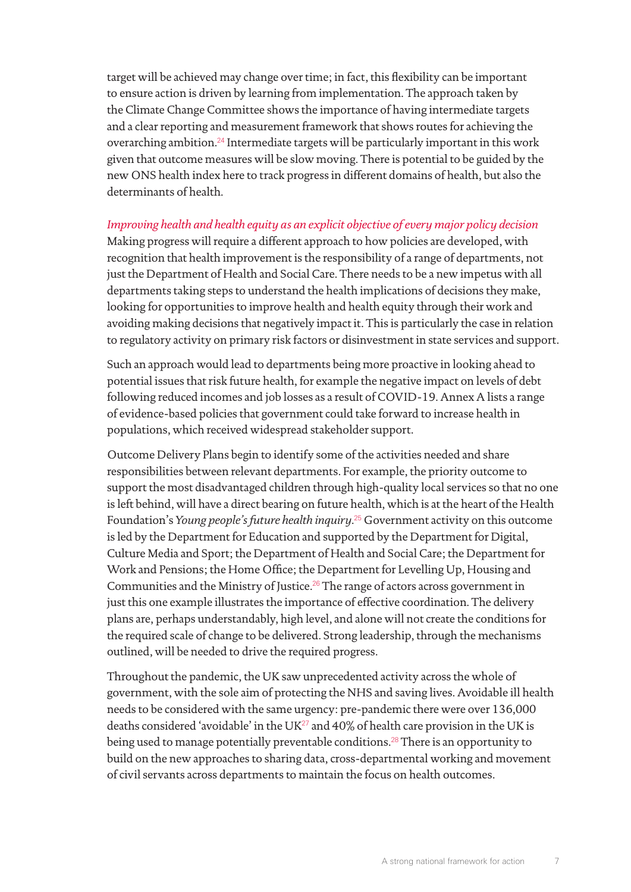target will be achieved may change over time; in fact, this flexibility can be important to ensure action is driven by learning from implementation. The approach taken by the Climate Change Committee shows the importance of having intermediate targets and a clear reporting and measurement framework that shows routes for achieving the overarching ambition.[24](#page-17-23) Intermediate targets will be particularly important in this work given that outcome measures will be slow moving. There is potential to be guided by the new ONS health index here to track progress in different domains of health, but also the determinants of health.

*Improving health and health equity as an explicit objective of every major policy decision*  Making progress will require a different approach to how policies are developed, with recognition that health improvement is the responsibility of a range of departments, not just the Department of Health and Social Care. There needs to be a new impetus with all departments taking steps to understand the health implications of decisions they make, looking for opportunities to improve health and health equity through their work and avoiding making decisions that negatively impact it. This is particularly the case in relation to regulatory activity on primary risk factors or disinvestment in state services and support.

Such an approach would lead to departments being more proactive in looking ahead to potential issues that risk future health, for example the negative impact on levels of debt following reduced incomes and job losses as a result of COVID-19. Annex A lists a range of evidence-based policies that government could take forward to increase health in populations, which received widespread stakeholder support.

Outcome Delivery Plans begin to identify some of the activities needed and share responsibilities between relevant departments. For example, the priority outcome to support the most disadvantaged children through high-quality local services so that no one is left behind, will have a direct bearing on future health, which is at the heart of the Health Foundation's *Young people's future health inquiry*. [25](#page-17-24) Government activity on this outcome is led by the Department for Education and supported by the Department for Digital, Culture Media and Sport; the Department of Health and Social Care; the Department for Work and Pensions; the Home Office; the Department for Levelling Up, Housing and Communities and the Ministry of Justice.[26](#page-18-0) The range of actors across government in just this one example illustrates the importance of effective coordination. The delivery plans are, perhaps understandably, high level, and alone will not create the conditions for the required scale of change to be delivered. Strong leadership, through the mechanisms outlined, will be needed to drive the required progress.

Throughout the pandemic, the UK saw unprecedented activity across the whole of government, with the sole aim of protecting the NHS and saving lives. Avoidable ill health needs to be considered with the same urgency: pre-pandemic there were over 136,000 deaths considered 'avoidable' in the UK $^{27}$  $^{27}$  $^{27}$  and 40% of health care provision in the UK is being used to manage potentially preventable conditions.<sup>[28](#page-18-2)</sup> There is an opportunity to build on the new approaches to sharing data, cross-departmental working and movement of civil servants across departments to maintain the focus on health outcomes.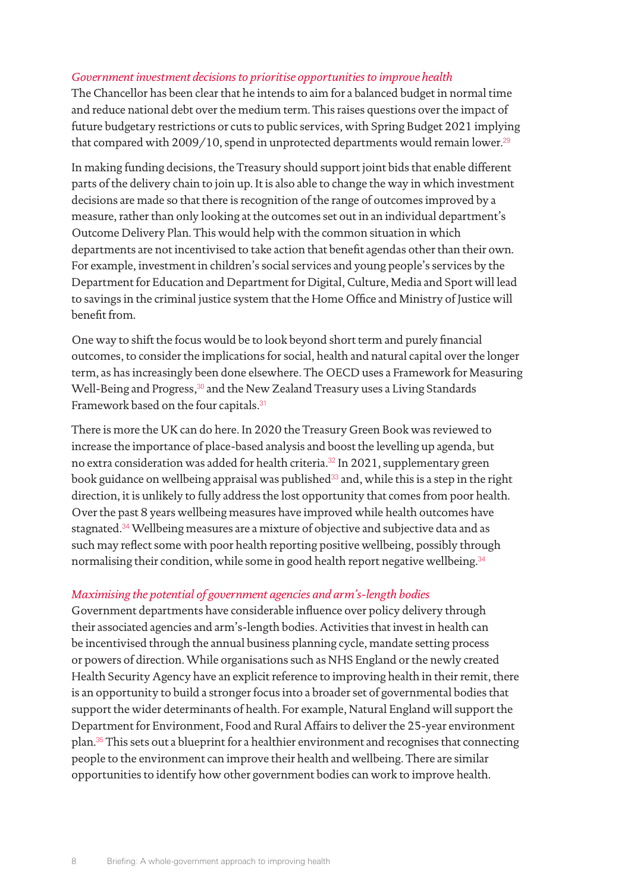#### *Government investment decisions to prioritise opportunities to improve health*

The Chancellor has been clear that he intends to aim for a balanced budget in normal time and reduce national debt over the medium term. This raises questions over the impact of future budgetary restrictions or cuts to public services, with Spring Budget 2021 implying that compared with  $2009/10$ , spend in unprotected departments would remain lower.<sup>[29](#page-18-3)</sup>

In making funding decisions, the Treasury should support joint bids that enable different parts of the delivery chain to join up. It is also able to change the way in which investment decisions are made so that there is recognition of the range of outcomes improved by a measure, rather than only looking at the outcomes set out in an individual department's Outcome Delivery Plan. This would help with the common situation in which departments are not incentivised to take action that benefit agendas other than their own. For example, investment in children's social services and young people's services by the Department for Education and Department for Digital, Culture, Media and Sport will lead to savings in the criminal justice system that the Home Office and Ministry of Justice will benefit from.

One way to shift the focus would be to look beyond short term and purely financial outcomes, to consider the implications for social, health and natural capital over the longer term, as has increasingly been done elsewhere. The OECD uses a Framework for Measuring Well-Being and Progress,<sup>[30](#page-18-4)</sup> and the New Zealand Treasury uses a Living Standards Framework based on the four capitals.<sup>[31](#page-18-5)</sup>

There is more the UK can do here. In 2020 the Treasury Green Book was reviewed to increase the importance of place-based analysis and boost the levelling up agenda, but no extra consideration was added for health criteria.<sup>[32](#page-18-6)</sup> In 2021, supplementary green book guidance on wellbeing appraisal was published $33$  and, while this is a step in the right direction, it is unlikely to fully address the lost opportunity that comes from poor health. Over the past 8 years wellbeing measures have improved while health outcomes have stagnated.<sup>[34](#page-18-8)</sup> Wellbeing measures are a mixture of objective and subjective data and as such may reflect some with poor health reporting positive wellbeing, possibly through normalising their condition, while some in good health report negative wellbeing.<sup>[34](#page-18-8)</sup>

#### *Maximising the potential of government agencies and arm's-length bodies*

Government departments have considerable influence over policy delivery through their associated agencies and arm's-length bodies. Activities that invest in health can be incentivised through the annual business planning cycle, mandate setting process or powers of direction. While organisations such as NHS England or the newly created Health Security Agency have an explicit reference to improving health in their remit, there is an opportunity to build a stronger focus into a broader set of governmental bodies that support the wider determinants of health. For example, Natural England will support the Department for Environment, Food and Rural Affairs to deliver the 25-year environment plan.[35](#page-18-9) This sets out a blueprint for a healthier environment and recognises that connecting people to the environment can improve their health and wellbeing. There are similar opportunities to identify how other government bodies can work to improve health.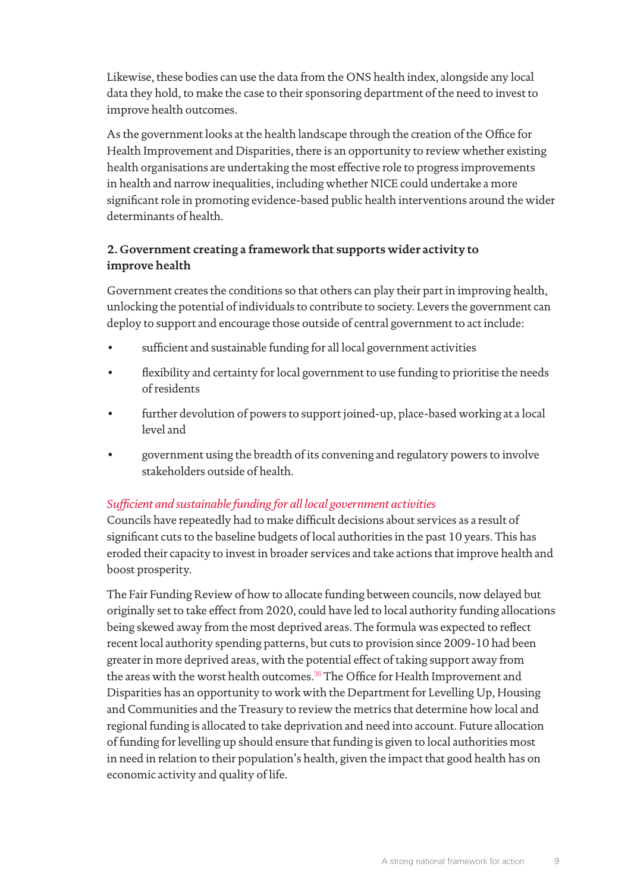Likewise, these bodies can use the data from the ONS health index, alongside any local data they hold, to make the case to their sponsoring department of the need to invest to improve health outcomes.

As the government looks at the health landscape through the creation of the Office for Health Improvement and Disparities, there is an opportunity to review whether existing health organisations are undertaking the most effective role to progress improvements in health and narrow inequalities, including whether NICE could undertake a more significant role in promoting evidence-based public health interventions around the wider determinants of health.

## **2. Government creating a framework that supports wider activity to improve health**

Government creates the conditions so that others can play their part in improving health, unlocking the potential of individuals to contribute to society. Levers the government can deploy to support and encourage those outside of central government to act include:

- sufficient and sustainable funding for all local government activities
- flexibility and certainty for local government to use funding to prioritise the needs of residents
- further devolution of powers to support joined-up, place-based working at a local level and
- government using the breadth of its convening and regulatory powers to involve stakeholders outside of health.

## *Sufficient and sustainable funding for all local government activities*

Councils have repeatedly had to make difficult decisions about services as a result of significant cuts to the baseline budgets of local authorities in the past 10 years. This has eroded their capacity to invest in broader services and take actions that improve health and boost prosperity.

The Fair Funding Review of how to allocate funding between councils, now delayed but originally set to take effect from 2020, could have led to local authority funding allocations being skewed away from the most deprived areas. The formula was expected to reflect recent local authority spending patterns, but cuts to provision since 2009-10 had been greater in more deprived areas, with the potential effect of taking support away from the areas with the worst health outcomes.<sup>[36](#page-18-10)</sup> The Office for Health Improvement and Disparities has an opportunity to work with the Department for Levelling Up, Housing and Communities and the Treasury to review the metrics that determine how local and regional funding is allocated to take deprivation and need into account. Future allocation of funding for levelling up should ensure that funding is given to local authorities most in need in relation to their population's health, given the impact that good health has on economic activity and quality of life.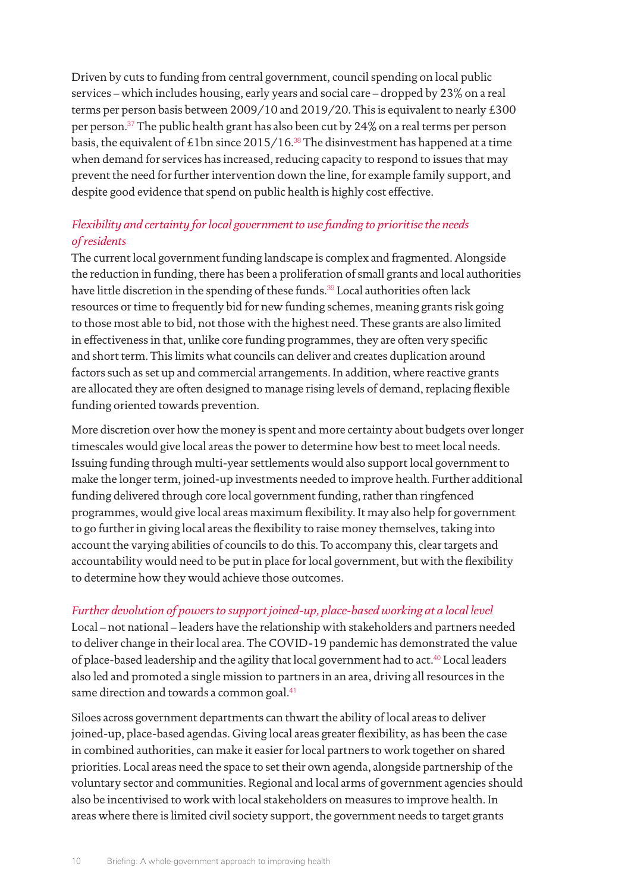Driven by cuts to funding from central government, council spending on local public services – which includes housing, early years and social care – dropped by 23% on a real terms per person basis between 2009/10 and 2019/20. This is equivalent to nearly £300 per person.[37](#page-18-11) The public health grant has also been cut by 24% on a real terms per person basis, the equivalent of £1bn since 2015/16.<sup>[38](#page-18-12)</sup> The disinvestment has happened at a time when demand for services has increased, reducing capacity to respond to issues that may prevent the need for further intervention down the line, for example family support, and despite good evidence that spend on public health is highly cost effective.

## *Flexibility and certainty for local government to use funding to prioritise the needs of residents*

The current local government funding landscape is complex and fragmented. Alongside the reduction in funding, there has been a proliferation of small grants and local authorities have little discretion in the spending of these funds.<sup>[39](#page-18-13)</sup> Local authorities often lack resources or time to frequently bid for new funding schemes, meaning grants risk going to those most able to bid, not those with the highest need. These grants are also limited in effectiveness in that, unlike core funding programmes, they are often very specific and short term. This limits what councils can deliver and creates duplication around factors such as set up and commercial arrangements. In addition, where reactive grants are allocated they are often designed to manage rising levels of demand, replacing flexible funding oriented towards prevention.

More discretion over how the money is spent and more certainty about budgets over longer timescales would give local areas the power to determine how best to meet local needs. Issuing funding through multi-year settlements would also support local government to make the longer term, joined-up investments needed to improve health. Further additional funding delivered through core local government funding, rather than ringfenced programmes, would give local areas maximum flexibility. It may also help for government to go further in giving local areas the flexibility to raise money themselves, taking into account the varying abilities of councils to do this. To accompany this, clear targets and accountability would need to be put in place for local government, but with the flexibility to determine how they would achieve those outcomes.

#### *Further devolution of powers to support joined-up, place-based working at a local level*

Local – not national – leaders have the relationship with stakeholders and partners needed to deliver change in their local area. The COVID-19 pandemic has demonstrated the value of place-based leadership and the agility that local government had to act.<sup>[40](#page-18-14)</sup> Local leaders also led and promoted a single mission to partners in an area, driving all resources in the same direction and towards a common goal.<sup>[41](#page-18-15)</sup>

Siloes across government departments can thwart the ability of local areas to deliver joined-up, place-based agendas. Giving local areas greater flexibility, as has been the case in combined authorities, can make it easier for local partners to work together on shared priorities. Local areas need the space to set their own agenda, alongside partnership of the voluntary sector and communities. Regional and local arms of government agencies should also be incentivised to work with local stakeholders on measures to improve health. In areas where there is limited civil society support, the government needs to target grants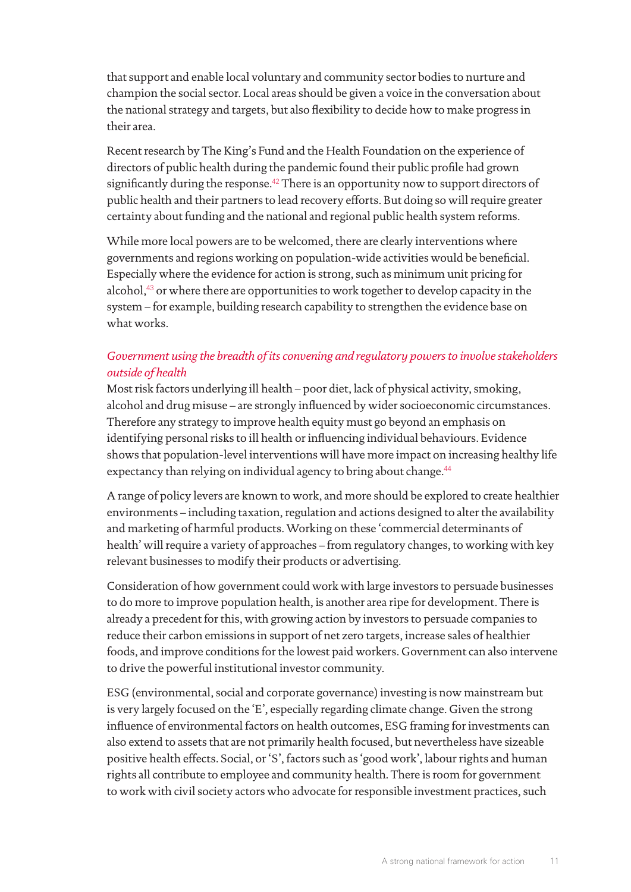that support and enable local voluntary and community sector bodies to nurture and champion the social sector. Local areas should be given a voice in the conversation about the national strategy and targets, but also flexibility to decide how to make progress in their area.

Recent research by The King's Fund and the Health Foundation on the experience of directors of public health during the pandemic found their public profile had grown significantly during the response.<sup>[42](#page-18-16)</sup> There is an opportunity now to support directors of public health and their partners to lead recovery efforts. But doing so will require greater certainty about funding and the national and regional public health system reforms.

While more local powers are to be welcomed, there are clearly interventions where governments and regions working on population-wide activities would be beneficial. Especially where the evidence for action is strong, such as minimum unit pricing for alcohol,<sup>[43](#page-18-17)</sup> or where there are opportunities to work together to develop capacity in the system – for example, building research capability to strengthen the evidence base on what works.

## *Government using the breadth of its convening and regulatory powers to involve stakeholders outside of health*

Most risk factors underlying ill health – poor diet, lack of physical activity, smoking, alcohol and drug misuse – are strongly influenced by wider socioeconomic circumstances. Therefore any strategy to improve health equity must go beyond an emphasis on identifying personal risks to ill health or influencing individual behaviours. Evidence shows that population-level interventions will have more impact on increasing healthy life expectancy than relying on individual agency to bring about change.<sup>[44](#page-18-18)</sup>

A range of policy levers are known to work, and more should be explored to create healthier environments – including taxation, regulation and actions designed to alter the availability and marketing of harmful products. Working on these 'commercial determinants of health' will require a variety of approaches – from regulatory changes, to working with key relevant businesses to modify their products or advertising.

Consideration of how government could work with large investors to persuade businesses to do more to improve population health, is another area ripe for development. There is already a precedent for this, with growing action by investors to persuade companies to reduce their carbon emissions in support of net zero targets, increase sales of healthier foods, and improve conditions for the lowest paid workers. Government can also intervene to drive the powerful institutional investor community.

ESG (environmental, social and corporate governance) investing is now mainstream but is very largely focused on the 'E', especially regarding climate change. Given the strong influence of environmental factors on health outcomes, ESG framing for investments can also extend to assets that are not primarily health focused, but nevertheless have sizeable positive health effects. Social, or 'S', factors such as 'good work', labour rights and human rights all contribute to employee and community health. There is room for government to work with civil society actors who advocate for responsible investment practices, such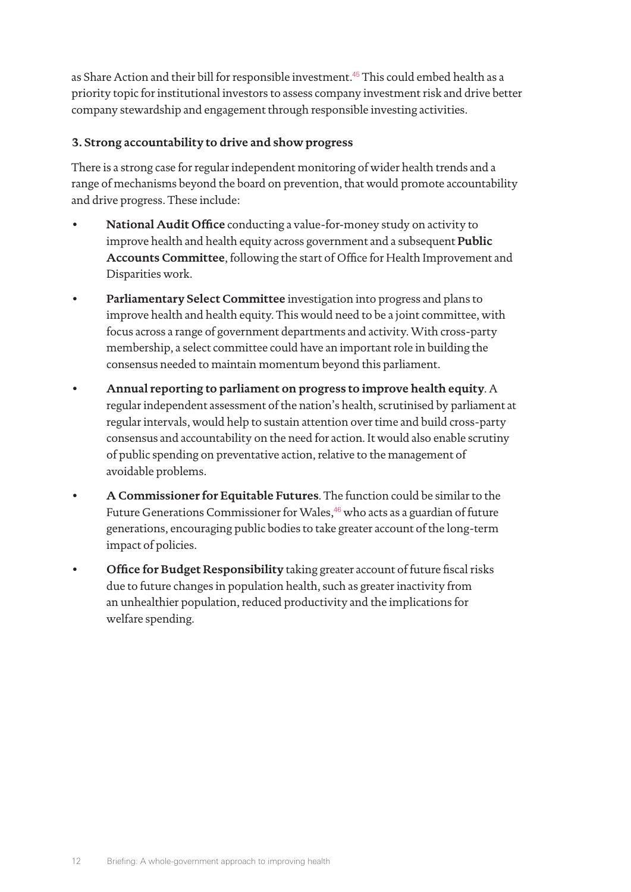as Share Action and their bill for responsible investment.<sup>[45](#page-18-19)</sup> This could embed health as a priority topic for institutional investors to assess company investment risk and drive better company stewardship and engagement through responsible investing activities.

### **3. Strong accountability to drive and show progress**

There is a strong case for regular independent monitoring of wider health trends and a range of mechanisms beyond the board on prevention, that would promote accountability and drive progress. These include:

- **National Audit Office** conducting a value-for-money study on activity to improve health and health equity across government and a subsequent **Public Accounts Committee**, following the start of Office for Health Improvement and Disparities work.
- **Parliamentary Select Committee** investigation into progress and plans to improve health and health equity. This would need to be a joint committee, with focus across a range of government departments and activity. With cross-party membership, a select committee could have an important role in building the consensus needed to maintain momentum beyond this parliament.
- **Annual reporting to parliament on progress to improve health equity**. A regular independent assessment of the nation's health, scrutinised by parliament at regular intervals, would help to sustain attention over time and build cross-party consensus and accountability on the need for action. It would also enable scrutiny of public spending on preventative action, relative to the management of avoidable problems.
- **A Commissioner for Equitable Futures**. The function could be similar to the Future Generations Commissioner for Wales,<sup>[46](#page-18-20)</sup> who acts as a guardian of future generations, encouraging public bodies to take greater account of the long-term impact of policies.
- **Office for Budget Responsibility** taking greater account of future fiscal risks due to future changes in population health, such as greater inactivity from an unhealthier population, reduced productivity and the implications for welfare spending.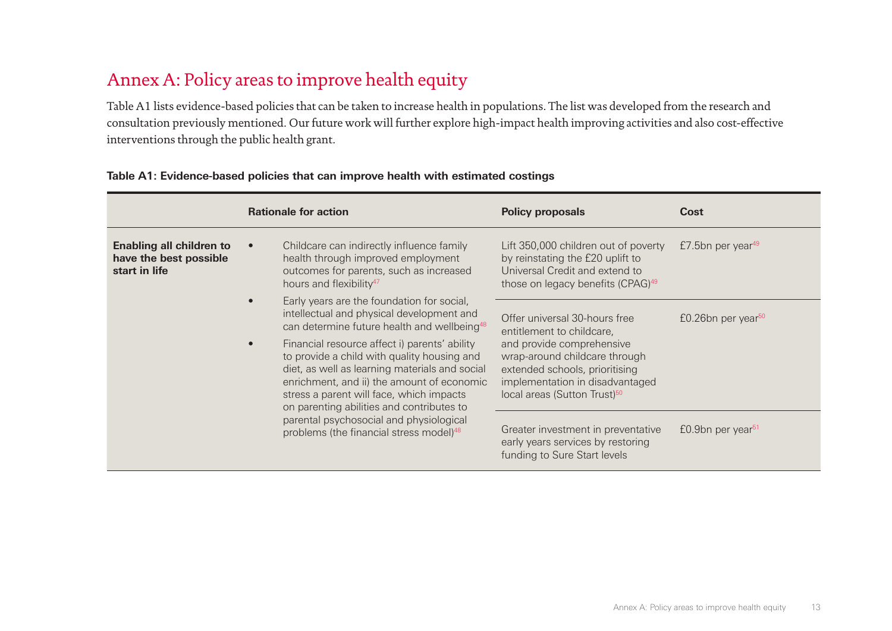# Annex A: Policy areas to improve health equity

Table A1 lists evidence-based policies that can be taken to increase health in populations. The list was developed from the research and consultation previously mentioned. Our future work will further explore high-impact health improving activities and also cost-effective interventions through the public health grant.

|                                                                            | <b>Rationale for action</b>                                                                                                                                                                                                                                                                                                                                                                                                                                                                                                                   | <b>Policy proposals</b>                                                                                                                                                                                                                   | Cost                              |
|----------------------------------------------------------------------------|-----------------------------------------------------------------------------------------------------------------------------------------------------------------------------------------------------------------------------------------------------------------------------------------------------------------------------------------------------------------------------------------------------------------------------------------------------------------------------------------------------------------------------------------------|-------------------------------------------------------------------------------------------------------------------------------------------------------------------------------------------------------------------------------------------|-----------------------------------|
| <b>Enabling all children to</b><br>have the best possible<br>start in life | Childcare can indirectly influence family<br>health through improved employment<br>outcomes for parents, such as increased<br>hours and flexibility <sup>47</sup>                                                                                                                                                                                                                                                                                                                                                                             | Lift 350,000 children out of poverty<br>by reinstating the £20 uplift to<br>Universal Credit and extend to<br>those on legacy benefits (CPAG) <sup>49</sup>                                                                               | $£7.5$ bn per year <sup>49</sup>  |
|                                                                            | Early years are the foundation for social,<br>intellectual and physical development and<br>can determine future health and wellbeing <sup>48</sup><br>Financial resource affect i) parents' ability<br>to provide a child with quality housing and<br>diet, as well as learning materials and social<br>enrichment, and ii) the amount of economic<br>stress a parent will face, which impacts<br>on parenting abilities and contributes to<br>parental psychosocial and physiological<br>problems (the financial stress model) <sup>48</sup> | Offer universal 30-hours free<br>entitlement to childcare,<br>and provide comprehensive<br>wrap-around childcare through<br>extended schools, prioritising<br>implementation in disadvantaged<br>local areas (Sutton Trust) <sup>50</sup> | $£0.26$ bn per year <sup>50</sup> |
|                                                                            |                                                                                                                                                                                                                                                                                                                                                                                                                                                                                                                                               | Greater investment in preventative<br>early years services by restoring<br>funding to Sure Start levels                                                                                                                                   | $£0.9$ bn per year <sup>51</sup>  |

#### **Table A1: Evidence-based policies that can improve health with estimated costings**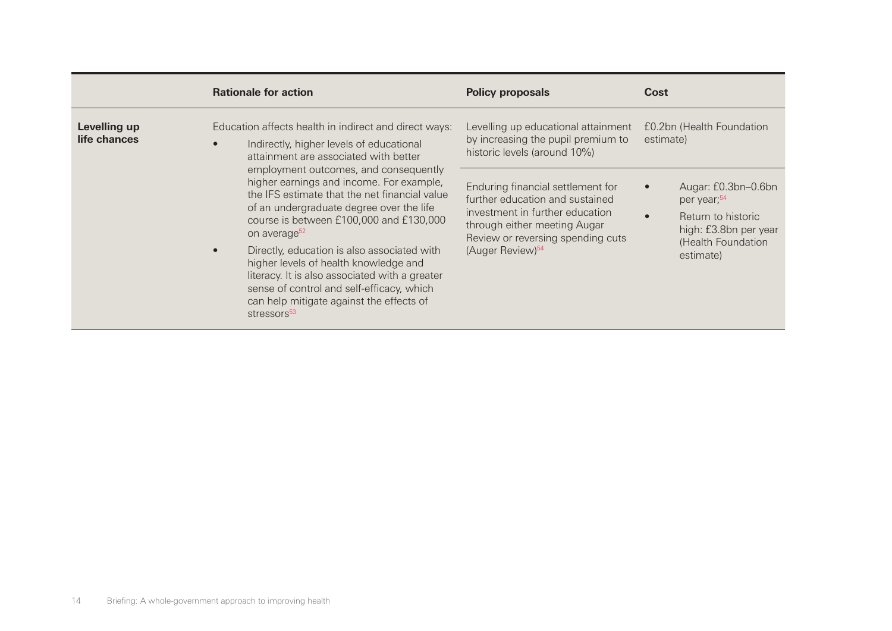|                              | <b>Rationale for action</b>                                                                                                                                                                                                                                                                                                                                                                                                                                                                                         | <b>Policy proposals</b>                                                                                                                                                                                      | Cost                                                                                                                             |
|------------------------------|---------------------------------------------------------------------------------------------------------------------------------------------------------------------------------------------------------------------------------------------------------------------------------------------------------------------------------------------------------------------------------------------------------------------------------------------------------------------------------------------------------------------|--------------------------------------------------------------------------------------------------------------------------------------------------------------------------------------------------------------|----------------------------------------------------------------------------------------------------------------------------------|
| Levelling up<br>life chances | Education affects health in indirect and direct ways:<br>Indirectly, higher levels of educational<br>attainment are associated with better                                                                                                                                                                                                                                                                                                                                                                          | Levelling up educational attainment<br>by increasing the pupil premium to<br>historic levels (around 10%)                                                                                                    | £0.2bn (Health Foundation<br>estimate)                                                                                           |
|                              | employment outcomes, and consequently<br>higher earnings and income. For example,<br>the IFS estimate that the net financial value<br>of an undergraduate degree over the life<br>course is between £100,000 and £130,000<br>on average <sup>52</sup><br>Directly, education is also associated with<br>higher levels of health knowledge and<br>literacy. It is also associated with a greater<br>sense of control and self-efficacy, which<br>can help mitigate against the effects of<br>stressors <sup>53</sup> | Enduring financial settlement for<br>further education and sustained<br>investment in further education<br>through either meeting Augar<br>Review or reversing spending cuts<br>(Auger Review) <sup>54</sup> | Augar: £0.3bn-0.6bn<br>per year; <sup>54</sup><br>Return to historic<br>high: £3.8bn per year<br>(Health Foundation<br>estimate) |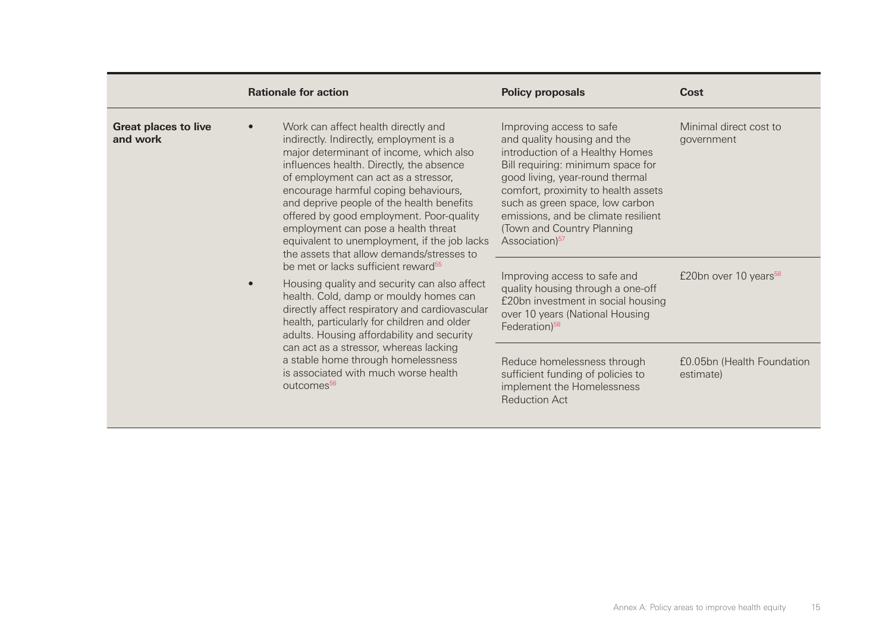|                                         | <b>Rationale for action</b>                                                                                                                                                                                                                                                                                                                                                                                                                                                        | <b>Policy proposals</b>                                                                                                                                                                                                                                                                                                                         | Cost                                    |
|-----------------------------------------|------------------------------------------------------------------------------------------------------------------------------------------------------------------------------------------------------------------------------------------------------------------------------------------------------------------------------------------------------------------------------------------------------------------------------------------------------------------------------------|-------------------------------------------------------------------------------------------------------------------------------------------------------------------------------------------------------------------------------------------------------------------------------------------------------------------------------------------------|-----------------------------------------|
| <b>Great places to live</b><br>and work | Work can affect health directly and<br>indirectly. Indirectly, employment is a<br>major determinant of income, which also<br>influences health. Directly, the absence<br>of employment can act as a stressor,<br>encourage harmful coping behaviours,<br>and deprive people of the health benefits<br>offered by good employment. Poor-quality<br>employment can pose a health threat<br>equivalent to unemployment, if the job lacks<br>the assets that allow demands/stresses to | Improving access to safe<br>and quality housing and the<br>introduction of a Healthy Homes<br>Bill requiring: minimum space for<br>good living, year-round thermal<br>comfort, proximity to health assets<br>such as green space, low carbon<br>emissions, and be climate resilient<br>(Town and Country Planning<br>Association) <sup>57</sup> | Minimal direct cost to<br>government    |
|                                         | be met or lacks sufficient reward <sup>55</sup><br>Housing quality and security can also affect<br>$\bullet$<br>health. Cold, damp or mouldy homes can<br>directly affect respiratory and cardiovascular<br>health, particularly for children and older<br>adults. Housing affordability and security<br>can act as a stressor, whereas lacking<br>a stable home through homelessness<br>is associated with much worse health<br>outcomes <sup>56</sup>                            | Improving access to safe and<br>quality housing through a one-off<br>£20bn investment in social housing<br>over 10 years (National Housing<br>Federation) <sup>58</sup>                                                                                                                                                                         | £20bn over 10 years <sup>58</sup>       |
|                                         |                                                                                                                                                                                                                                                                                                                                                                                                                                                                                    | Reduce homelessness through<br>sufficient funding of policies to<br>implement the Homelessness<br><b>Reduction Act</b>                                                                                                                                                                                                                          | £0.05bn (Health Foundation<br>estimate) |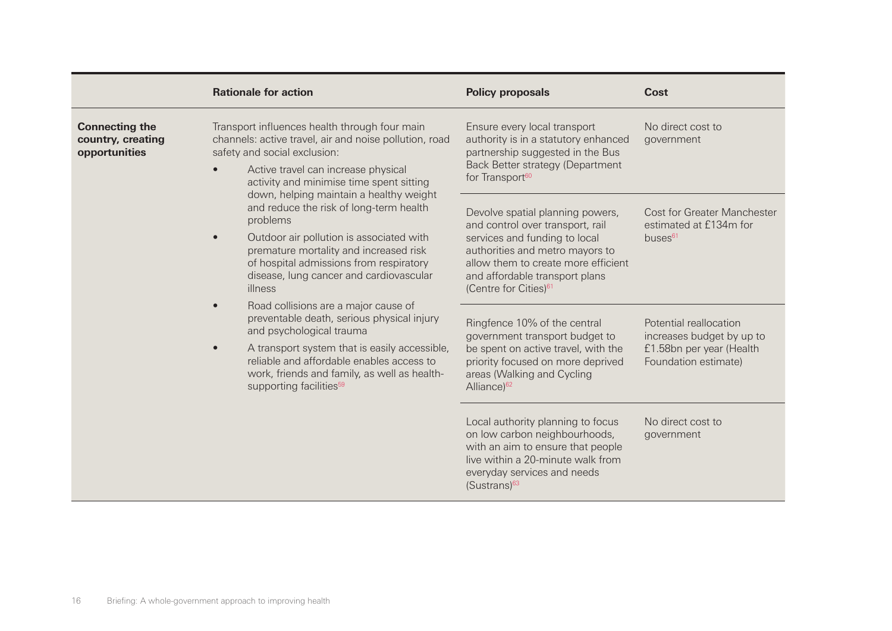|                                                             | <b>Rationale for action</b>                                                                                                                                                                                                                                                                                                                                                                                                                                                                                                                                                                               | <b>Policy proposals</b>                                                                                                                                                                                                                                | Cost                                                                                                    |
|-------------------------------------------------------------|-----------------------------------------------------------------------------------------------------------------------------------------------------------------------------------------------------------------------------------------------------------------------------------------------------------------------------------------------------------------------------------------------------------------------------------------------------------------------------------------------------------------------------------------------------------------------------------------------------------|--------------------------------------------------------------------------------------------------------------------------------------------------------------------------------------------------------------------------------------------------------|---------------------------------------------------------------------------------------------------------|
| <b>Connecting the</b><br>country, creating<br>opportunities | Transport influences health through four main<br>channels: active travel, air and noise pollution, road<br>safety and social exclusion:<br>Active travel can increase physical<br>activity and minimise time spent sitting                                                                                                                                                                                                                                                                                                                                                                                | Ensure every local transport<br>authority is in a statutory enhanced<br>partnership suggested in the Bus<br>Back Better strategy (Department<br>for Transport <sup>60</sup>                                                                            | No direct cost to<br>government                                                                         |
|                                                             | down, helping maintain a healthy weight<br>and reduce the risk of long-term health<br>problems<br>Outdoor air pollution is associated with<br>premature mortality and increased risk<br>of hospital admissions from respiratory<br>disease, lung cancer and cardiovascular<br>illness<br>Road collisions are a major cause of<br>preventable death, serious physical injury<br>and psychological trauma<br>A transport system that is easily accessible,<br>$\bullet$<br>reliable and affordable enables access to<br>work, friends and family, as well as health-<br>supporting facilities <sup>59</sup> | Devolve spatial planning powers,<br>and control over transport, rail<br>services and funding to local<br>authorities and metro mayors to<br>allow them to create more efficient<br>and affordable transport plans<br>(Centre for Cities) <sup>61</sup> | <b>Cost for Greater Manchester</b><br>estimated at £134m for<br>buses <sup>61</sup>                     |
|                                                             |                                                                                                                                                                                                                                                                                                                                                                                                                                                                                                                                                                                                           | Ringfence 10% of the central<br>government transport budget to<br>be spent on active travel, with the<br>priority focused on more deprived<br>areas (Walking and Cycling<br>Alliance) <sup>62</sup>                                                    | Potential reallocation<br>increases budget by up to<br>£1.58bn per year (Health<br>Foundation estimate) |
|                                                             |                                                                                                                                                                                                                                                                                                                                                                                                                                                                                                                                                                                                           | Local authority planning to focus<br>on low carbon neighbourhoods,<br>with an aim to ensure that people<br>live within a 20-minute walk from<br>everyday services and needs<br>$(Sustrans)^{63}$                                                       | No direct cost to<br>government                                                                         |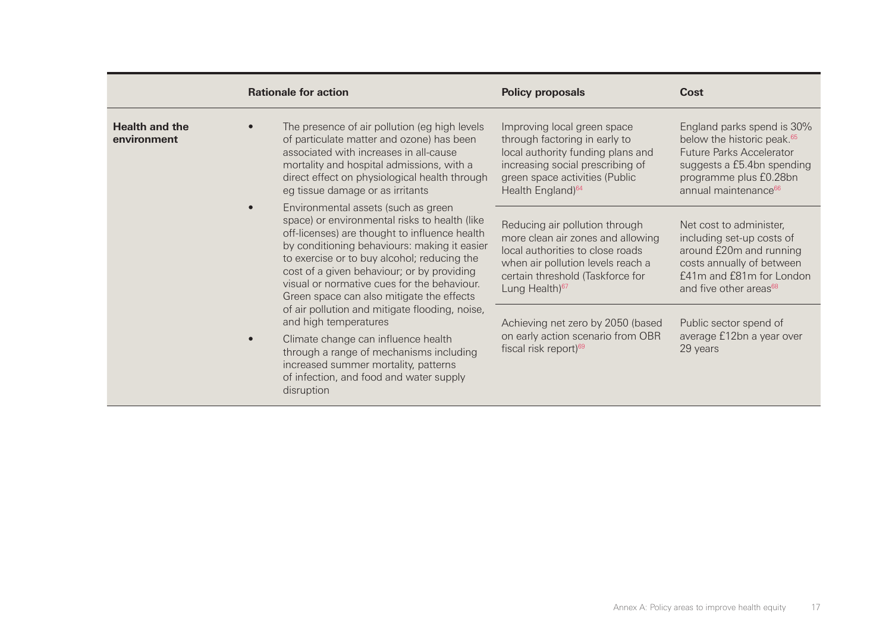|                                      | <b>Rationale for action</b>                                                                                                                                                                                                                                                                                                                                                    | <b>Policy proposals</b>                                                                                                                                                                                        | Cost                                                                                                                                                                                                |
|--------------------------------------|--------------------------------------------------------------------------------------------------------------------------------------------------------------------------------------------------------------------------------------------------------------------------------------------------------------------------------------------------------------------------------|----------------------------------------------------------------------------------------------------------------------------------------------------------------------------------------------------------------|-----------------------------------------------------------------------------------------------------------------------------------------------------------------------------------------------------|
| <b>Health and the</b><br>environment | The presence of air pollution (eg high levels<br>of particulate matter and ozone) has been<br>associated with increases in all-cause<br>mortality and hospital admissions, with a<br>direct effect on physiological health through<br>eg tissue damage or as irritants                                                                                                         | Improving local green space<br>through factoring in early to<br>local authority funding plans and<br>increasing social prescribing of<br>green space activities (Public<br>Health England) <sup>64</sup>       | England parks spend is 30%<br>below the historic peak. <sup>65</sup><br><b>Future Parks Accelerator</b><br>suggests a £5.4bn spending<br>programme plus £0.28bn<br>annual maintenance <sup>66</sup> |
|                                      | Environmental assets (such as green<br>space) or environmental risks to health (like<br>off-licenses) are thought to influence health<br>by conditioning behaviours: making it easier<br>to exercise or to buy alcohol; reducing the<br>cost of a given behaviour; or by providing<br>visual or normative cues for the behaviour.<br>Green space can also mitigate the effects | Reducing air pollution through<br>more clean air zones and allowing<br>local authorities to close roads<br>when air pollution levels reach a<br>certain threshold (Taskforce for<br>Lung Health) <sup>67</sup> | Net cost to administer,<br>including set-up costs of<br>around £20m and running<br>costs annually of between<br>£41m and £81m for London<br>and five other areas <sup>68</sup>                      |
|                                      | of air pollution and mitigate flooding, noise,<br>and high temperatures<br>Climate change can influence health<br>through a range of mechanisms including<br>increased summer mortality, patterns<br>of infection, and food and water supply<br>disruption                                                                                                                     | Achieving net zero by 2050 (based<br>on early action scenario from OBR<br>fiscal risk report) <sup>69</sup>                                                                                                    | Public sector spend of<br>average £12bn a year over<br>29 years                                                                                                                                     |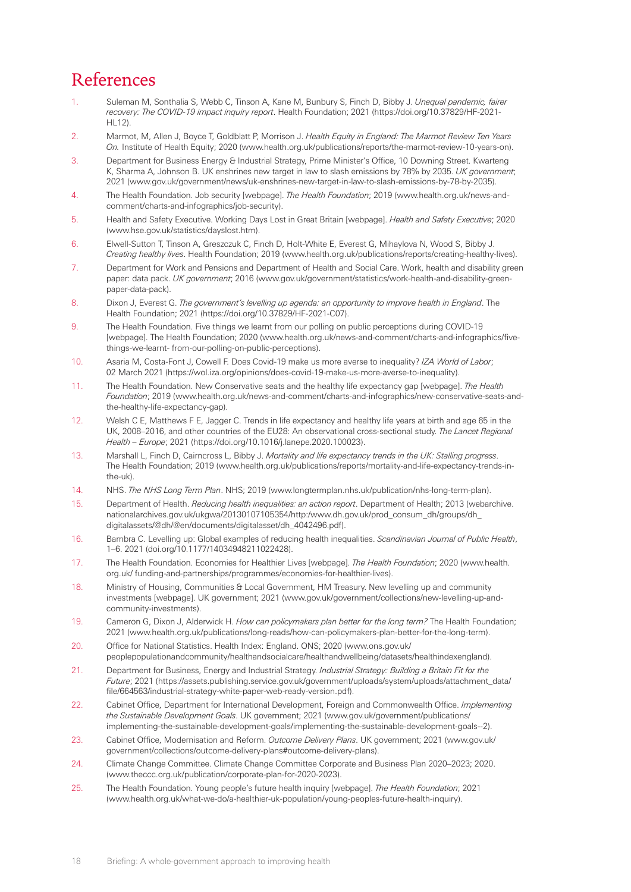# References

- <span id="page-17-0"></span>1. Suleman M, Sonthalia S, Webb C, Tinson A, Kane M, Bunbury S, Finch D, Bibby J. *Unequal pandemic, fairer recovery: The COVID-19 impact inquiry report*. Health Foundation; 2021 [\(https://doi.org/10.37829/HF-2021-](https://doi.org/10.37829/HF-2021-HL12) [HL12](https://doi.org/10.37829/HF-2021-HL12)).
- <span id="page-17-1"></span>2. Marmot, M, Allen J, Boyce T, Goldblatt P, Morrison J. *Health Equity in England: The Marmot Review Ten Years On.* Institute of Health Equity; 2020 [\(www.health.org.uk/publications/reports/the-marmot-review-10-years-on](http://www.health.org.uk/publications/reports/the-marmot-review-10-years-on)).
- <span id="page-17-2"></span>3. Department for Business Energy & Industrial Strategy, Prime Minister's Office, 10 Downing Street. Kwarteng K, Sharma A, Johnson B. UK enshrines new target in law to slash emissions by 78% by 2035. *UK government*; 2021 [\(www.gov.uk/government/news/uk-enshrines-new-target-in-law-to-slash-emissions-by-78-by-2035](http://www.gov.uk/government/news/uk-enshrines-new-target-in-law-to-slash-emissions-by-78-by-2035)).
- <span id="page-17-3"></span>4. The Health Foundation. Job security [webpage]. *The Health Foundation*; 2019 ([www.health.org.uk/news-and](http://www.health.org.uk/news-and-comment/charts-and-infographics/job-security)[comment/charts-and-infographics/job-security\)](http://www.health.org.uk/news-and-comment/charts-and-infographics/job-security).
- <span id="page-17-4"></span>5. Health and Safety Executive. Working Days Lost in Great Britain [webpage]. *Health and Safety Executive*; 2020 ([www.hse.gov.uk/statistics/dayslost.htm](http://www.hse.gov.uk/statistics/dayslost.htm)).
- <span id="page-17-5"></span>6. Elwell-Sutton T, Tinson A, Greszczuk C, Finch D, Holt-White E, Everest G, Mihaylova N, Wood S, Bibby J. *Creating healthy lives*. Health Foundation; 2019 [\(www.health.org.uk/publications/reports/creating-healthy-lives\)](https://www.health.org.uk/publications/reports/creating-healthy-lives).
- <span id="page-17-6"></span>7. Department for Work and Pensions and Department of Health and Social Care. Work, health and disability green paper: data pack. *UK government*; 2016 [\(www.gov.uk/government/statistics/work-health-and-disability-green](http://www.gov.uk/government/statistics/work-health-and-disability-green-paper-data-pack)[paper-data-pack](http://www.gov.uk/government/statistics/work-health-and-disability-green-paper-data-pack)).
- <span id="page-17-7"></span>8. Dixon J, Everest G. *The government's levelling up agenda: an opportunity to improve health in England*. The Health Foundation; 2021 [\(https://doi.org/10.37829/HF-2021-C07](https://doi.org/10.37829/HF-2021-C07)).
- <span id="page-17-8"></span>9. The Health Foundation. Five things we learnt from our polling on public perceptions during COVID-19 [webpage]. The Health Foundation; 2020 ([www.health.org.uk/news-and-comment/charts-and-infographics/five](https://www.health.org.uk/news-and-comment/charts-and-infographics/five-things-we-learnt-from-our-polling-on-public-perceptions)[things-we-learnt- from-our-polling-on-public-perceptions](https://www.health.org.uk/news-and-comment/charts-and-infographics/five-things-we-learnt-from-our-polling-on-public-perceptions)).
- <span id="page-17-9"></span>10. Asaria M, Costa-Font J, Cowell F. Does Covid-19 make us more averse to inequality? *IZA World of Labor*; 02 March 2021 [\(https://wol.iza.org/opinions/does-covid-19-make-us-more-averse-to-inequality\)](https://wol.iza.org/opinions/does-covid-19-make-us-more-averse-to-inequality).
- <span id="page-17-10"></span>11. The Health Foundation. New Conservative seats and the healthy life expectancy gap [webpage]. *The Health Foundation*; 2019 ([www.health.org.uk/news-and-comment/charts-and-infographics/new-conservative-seats-and](http://www.health.org.uk/news-and-comment/charts-and-infographics/new-conservative-seats-and-the-healthy-life-expectancy-gap)[the-healthy-life-expectancy-gap\)](http://www.health.org.uk/news-and-comment/charts-and-infographics/new-conservative-seats-and-the-healthy-life-expectancy-gap).
- <span id="page-17-11"></span>12. Welsh C E, Matthews F E, Jagger C. Trends in life expectancy and healthy life years at birth and age 65 in the UK, 2008–2016, and other countries of the EU28: An observational cross-sectional study. *The Lancet Regional Health – Europe*; 2021 [\(https://doi.org/10.1016/j.lanepe.2020.100023](https://doi.org/10.1016/j.lanepe.2020.100023)).
- <span id="page-17-12"></span>13. Marshall L, Finch D, Cairncross L, Bibby J. *Mortality and life expectancy trends in the UK: Stalling progress*. The Health Foundation; 2019 [\(www.health.org.uk/publications/reports/mortality-and-life-expectancy-trends-in](http://www.health.org.uk/publications/reports/mortality-and-life-expectancy-trends-in-the-uk)[the-uk\)](http://www.health.org.uk/publications/reports/mortality-and-life-expectancy-trends-in-the-uk).
- <span id="page-17-13"></span>14. NHS. *The NHS Long Term Plan*. NHS; 2019 ([www.longtermplan.nhs.uk/publication/nhs-long-term-plan](http://www.longtermplan.nhs.uk/publication/nhs-long-term-plan)).
- <span id="page-17-14"></span>15. Department of Health. *Reducing health inequalities: an action report*. Department of Health; 2013 [\(webarchive.](http://webarchive.nationalarchives.gov.uk/ukgwa/20130107105354/http:/www.dh.gov.uk/prod_consum_dh/groups/dh_digitalassets/@dh/@en/documents/digitalasset/dh_4042496.pdf) [nationalarchives.gov.uk/ukgwa/20130107105354/http:/www.dh.gov.uk/prod\\_consum\\_dh/groups/dh\\_](http://webarchive.nationalarchives.gov.uk/ukgwa/20130107105354/http:/www.dh.gov.uk/prod_consum_dh/groups/dh_digitalassets/@dh/@en/documents/digitalasset/dh_4042496.pdf) [digitalassets/@](http://webarchive.nationalarchives.gov.uk/ukgwa/20130107105354/http:/www.dh.gov.uk/prod_consum_dh/groups/dh_digitalassets/@dh/@en/documents/digitalasset/dh_4042496.pdf)dh/@en/documents/digitalasset/dh\_4042496.pdf).
- <span id="page-17-15"></span>16. Bambra C. Levelling up: Global examples of reducing health inequalities. *Scandinavian Journal of Public Health*, 1–6. 2021 ([doi.org/10.1177/14034948211022428](http://doi.org/10.1177/14034948211022428)).
- <span id="page-17-16"></span>17. The Health Foundation. Economies for Healthier Lives [webpage]. *The Health Foundation*; 2020 ([www.health.](https://www.health.org.uk/funding-and-partnerships/programmes/economies-for-healthier-lives) [org.uk/ funding-and-partnerships/programmes/economies-for-healthier-lives\)](https://www.health.org.uk/funding-and-partnerships/programmes/economies-for-healthier-lives).
- <span id="page-17-17"></span>18. Ministry of Housing, Communities & Local Government, HM Treasury. New levelling up and community investments [webpage]. UK government; 2021 [\(www.gov.uk/government/collections/new-levelling-up-and](http://www.gov.uk/government/collections/new-levelling-up-and-community-investments)[community-investments\)](http://www.gov.uk/government/collections/new-levelling-up-and-community-investments).
- <span id="page-17-18"></span>19. Cameron G, Dixon J, Alderwick H. *How can policymakers plan better for the long term?* The Health Foundation; 2021 [\(www.health.org.uk/publications/long-reads/how-can-policymakers-plan-better-for-the-long-term](http://www.health.org.uk/publications/long-reads/how-can-policymakers-plan-better-for-the-long-term)).
- <span id="page-17-19"></span>20. Office for National Statistics. Health Index: England. ONS; 2020 [\(www.ons.gov.uk/](http://www.ons.gov.uk/peoplepopulationandcommunity/healthandsocialcare/healthandwellbeing/datasets/healthindexengland)  [peoplepopulationandcommunity/healthandsocialcare/healthandwellbeing/datasets/healthindexengland\)](http://www.ons.gov.uk/peoplepopulationandcommunity/healthandsocialcare/healthandwellbeing/datasets/healthindexengland).
- <span id="page-17-20"></span>21. Department for Business, Energy and Industrial Strategy. *Industrial Strategy: Building a Britain Fit for the Future*; 2021 [\(https://assets.publishing.service.gov.uk/government/uploads/system/uploads/attachment\\_data/](https://assets.publishing.service.gov.uk/government/uploads/system/uploads/attachment_data/file/664563/industrial-strategy-white-paper-web-ready-version.pdf)  [file/664563/industrial-strategy-white-paper-web-ready-version.pdf\)](https://assets.publishing.service.gov.uk/government/uploads/system/uploads/attachment_data/file/664563/industrial-strategy-white-paper-web-ready-version.pdf).
- <span id="page-17-21"></span>22. Cabinet Office, Department for International Development, Foreign and Commonwealth Office. *Implementing the Sustainable Development Goals*. UK government; 2021 [\(www.gov.uk/government/publications/](http://www.gov.uk/government/publications/implementing-the-sustainable-development-goals/implementing-the-sustainable-development-goals--2) [implementing-the-sustainable-development-goals/implementing-the-sustainable-development-goals--2](http://www.gov.uk/government/publications/implementing-the-sustainable-development-goals/implementing-the-sustainable-development-goals--2)).
- <span id="page-17-22"></span>23. Cabinet Office, Modernisation and Reform. *Outcome Delivery Plans*. UK government; 2021 ([www.gov.uk/](http://www.gov.uk/government/collections/outcome-delivery-plans#outcome-delivery-plans) [government/collections/outcome-delivery-plans#outcome-delivery-plans\)](http://www.gov.uk/government/collections/outcome-delivery-plans#outcome-delivery-plans).
- <span id="page-17-23"></span>24. Climate Change Committee. Climate Change Committee Corporate and Business Plan 2020–2023; 2020. ([www.theccc.org.uk/publication/corporate-plan-for-2020-2023](http://www.theccc.org.uk/publication/corporate-plan-for-2020-2023)).
- <span id="page-17-24"></span>25. The Health Foundation. Young people's future health inquiry [webpage]. *The Health Foundation*; 2021 ([www.health.org.uk/what-we-do/a-healthier-uk-population/young-peoples-future-health-inquiry](http://www.health.org.uk/what-we-do/a-healthier-uk-population/young-peoples-future-health-inquiry)).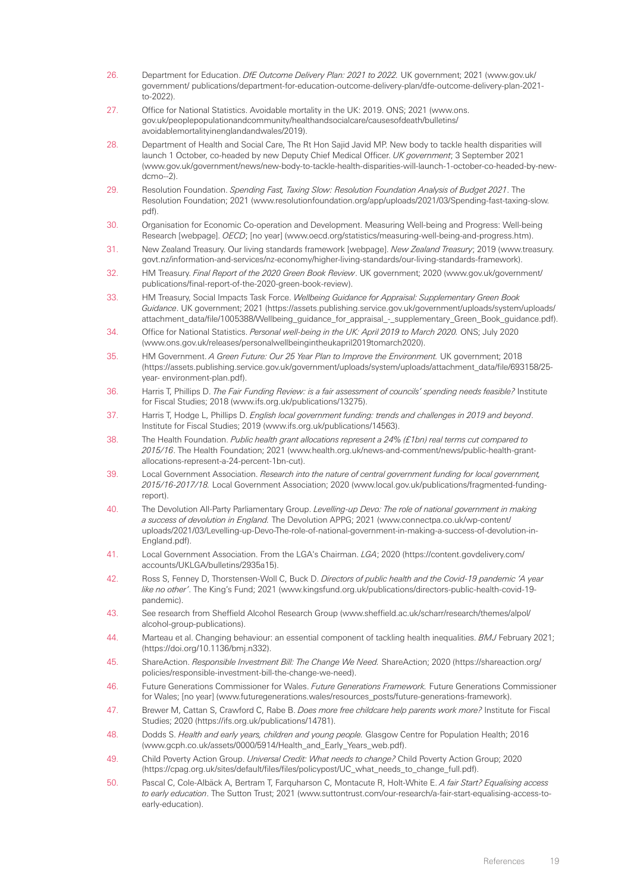- <span id="page-18-0"></span>26. Department for Education. *DfE Outcome Delivery Plan: 2021 to 2022.* UK government; 2021 [\(www.gov.uk/](http://www.gov.uk/government/publications/department-for-education-outcome-delivery-plan/dfe-outcome-delivery-plan-2021-to-2022) [government/ publications/department-for-education-outcome-delivery-plan/dfe-outcome-delivery-plan-2021](http://www.gov.uk/government/publications/department-for-education-outcome-delivery-plan/dfe-outcome-delivery-plan-2021-to-2022) [to-2022](http://www.gov.uk/government/publications/department-for-education-outcome-delivery-plan/dfe-outcome-delivery-plan-2021-to-2022)).
- <span id="page-18-1"></span>27. Office for National Statistics. Avoidable mortality in the UK: 2019. ONS; 2021 [\(www.ons.](http://www.ons.gov.uk/peoplepopulationandcommunity/healthandsocialcare/causesofdeath/bulletins/avoidablemortalityinenglandandwales/2019) [gov.uk/peoplepopulationandcommunity/healthandsocialcare/causesofdeath/bulletins/](http://www.ons.gov.uk/peoplepopulationandcommunity/healthandsocialcare/causesofdeath/bulletins/avoidablemortalityinenglandandwales/2019) [avoidablemortalityinenglandandwales/2019\)](http://www.ons.gov.uk/peoplepopulationandcommunity/healthandsocialcare/causesofdeath/bulletins/avoidablemortalityinenglandandwales/2019).
- <span id="page-18-2"></span>28. Department of Health and Social Care, The Rt Hon Sajid Javid MP. New body to tackle health disparities will launch 1 October, co-headed by new Deputy Chief Medical Officer. *UK government*; 3 September 2021 [\(www.gov.uk/government/news/new-body-to-tackle-health-disparities-will-launch-1-october-co-headed-by-new](http://www.gov.uk/government/news/new-body-to-tackle-health-disparities-will-launch-1-october-co-headed-by-new-dcmo--2)[dcmo--2\)](http://www.gov.uk/government/news/new-body-to-tackle-health-disparities-will-launch-1-october-co-headed-by-new-dcmo--2).
- <span id="page-18-3"></span>29. Resolution Foundation. *Spending Fast, Taxing Slow: Resolution Foundation Analysis of Budget 2021*. The Resolution Foundation; 2021 [\(www.resolutionfoundation.org/app/uploads/2021/03/Spending-fast-taxing-slow.](http://www.resolutionfoundation.org/app/uploads/2021/03/Spending-fast-taxing-slow.pdf) [pdf](http://www.resolutionfoundation.org/app/uploads/2021/03/Spending-fast-taxing-slow.pdf)).
- <span id="page-18-4"></span>30. Organisation for Economic Co-operation and Development. Measuring Well-being and Progress: Well-being Research [webpage]. *OECD*; [no year] ([www.oecd.org/statistics/measuring-well-being-and-progress.htm](http://www.oecd.org/statistics/measuring-well-being-and-progress.htm)).
- <span id="page-18-5"></span>31. New Zealand Treasury. Our living standards framework [webpage]. *New Zealand Treasury*; 2019 [\(www.treasury.](http://www.treasury.govt.nz/information-and-services/nz-economy/higher-living-standards/our-living-standards-framework)  [govt.nz/information-and-services/nz-economy/higher-living-standards/our-living-standards-framework\)](http://www.treasury.govt.nz/information-and-services/nz-economy/higher-living-standards/our-living-standards-framework).
- <span id="page-18-6"></span>32. HM Treasury. *Final Report of the 2020 Green Book Review*. UK government; 2020 [\(www.gov.uk/government/](http://www.gov.uk/government/publications/final-report-of-the-2020-green-book-review)  [publications/final-report-of-the-2020-green-book-review\)](http://www.gov.uk/government/publications/final-report-of-the-2020-green-book-review).
- <span id="page-18-7"></span>33. HM Treasury, Social Impacts Task Force. *Wellbeing Guidance for Appraisal: Supplementary Green Book Guidance*. UK government; 2021 ([https://assets.publishing.service.gov.uk/government/uploads/system/uploads/](https://assets.publishing.service.gov.uk/government/uploads/system/uploads/attachment_data/file/1005388/Wellbeing_guidance_for_appraisal_-_supplementary_Green_Book_guidance.pdf) [attachment\\_data/file/1005388/Wellbeing\\_guidance\\_for\\_appraisal\\_-\\_supplementary\\_Green\\_Book\\_guidance.pdf](https://assets.publishing.service.gov.uk/government/uploads/system/uploads/attachment_data/file/1005388/Wellbeing_guidance_for_appraisal_-_supplementary_Green_Book_guidance.pdf)).
- <span id="page-18-8"></span>34. Office for National Statistics. *Personal well-being in the UK: April 2019 to March 2020.* ONS; July 2020 [\(www.ons.gov.uk/releases/personalwellbeingintheukapril2019tomarch2020](http://www.ons.gov.uk/releases/personalwellbeingintheukapril2019tomarch2020)).
- <span id="page-18-9"></span>35. HM Government. *A Green Future: Our 25 Year Plan to Improve the Environment.* UK government; 2018 [\(https://assets.publishing.service.gov.uk/government/uploads/system/uploads/attachment\\_data/file/693158/25](https://assets.publishing.service.gov.uk/government/uploads/system/uploads/attachment_data/file/693158/25-year-environment-plan.pdf) [year- environment-plan.pdf\)](https://assets.publishing.service.gov.uk/government/uploads/system/uploads/attachment_data/file/693158/25-year-environment-plan.pdf).
- <span id="page-18-10"></span>36. Harris T, Phillips D. *The Fair Funding Review: is a fair assessment of councils' spending needs feasible?* Institute for Fiscal Studies; 2018 [\(www.ifs.org.uk/publications/13275](http://www.ifs.org.uk/publications/13275)).
- <span id="page-18-11"></span>37. Harris T, Hodge L, Phillips D. *English local government funding: trends and challenges in 2019 and beyond*. Institute for Fiscal Studies; 2019 ([www.ifs.org.uk/publications/14563\)](http://www.ifs.org.uk/publications/14563).
- <span id="page-18-21"></span><span id="page-18-12"></span>38. The Health Foundation. *Public health grant allocations represent a 24% (£1bn) real terms cut compared to 2015/16*. The Health Foundation; 2021 ([www.health.org.uk/news-and-comment/news/public-health-grant](http://www.health.org.uk/news-and-comment/news/public-health-grant-allocations-represent-a-24-percent-1bn-cut)[allocations-represent-a-24-percent-1bn-cut\)](http://www.health.org.uk/news-and-comment/news/public-health-grant-allocations-represent-a-24-percent-1bn-cut).
- <span id="page-18-13"></span>39. Local Government Association. *Research into the nature of central government funding for local government, 2015/16-2017/18.* Local Government Association; 2020 [\(www.local.gov.uk/publications/fragmented-funding](http://www.local.gov.uk/publications/fragmented-funding-report)[report\)](http://www.local.gov.uk/publications/fragmented-funding-report).
- <span id="page-18-23"></span><span id="page-18-22"></span><span id="page-18-14"></span>40. The Devolution All-Party Parliamentary Group. *Levelling-up Devo: The role of national government in making a success of devolution in England.* The Devolution APPG; 2021 [\(www.connectpa.co.uk/wp-content/](http://www.connectpa.co.uk/wp-content/uploads/2021/03/Levelling-up-Devo-The-role-of-national-government-in-making-a-success-of-devolution-in-England.pdf) [uploads/2021/03/Levelling-up-Devo-The-role-of-national-government-in-making-a-success-of-devolution-in-](http://www.connectpa.co.uk/wp-content/uploads/2021/03/Levelling-up-Devo-The-role-of-national-government-in-making-a-success-of-devolution-in-England.pdf)[England.pdf](http://www.connectpa.co.uk/wp-content/uploads/2021/03/Levelling-up-Devo-The-role-of-national-government-in-making-a-success-of-devolution-in-England.pdf)).
- <span id="page-18-15"></span>41. Local Government Association. From the LGA's Chairman. *LGA*; 2020 [\(https://content.govdelivery.com/](https://content.govdelivery.com/accounts/UKLGA/bulletins/2935a15) [accounts/UKLGA/bulletins/2935a15\)](https://content.govdelivery.com/accounts/UKLGA/bulletins/2935a15).
- <span id="page-18-16"></span>42. Ross S, Fenney D, Thorstensen-Woll C, Buck D. *Directors of public health and the Covid-19 pandemic 'A year like no other'*. The King's Fund; 2021 [\(www.kingsfund.org.uk/publications/directors-public-health-covid-19](https://www.kingsfund.org.uk/publications/directors-public-health-covid-19-pandemic) [pandemic\)](https://www.kingsfund.org.uk/publications/directors-public-health-covid-19-pandemic).
- <span id="page-18-17"></span>43. See research from Sheffield Alcohol Research Group [\(www.sheffield.ac.uk/scharr/research/themes/alpol/](https://www.sheffield.ac.uk/scharr/research/themes/alpol/alcohol-group-publications)  [alcohol-group-publications](https://www.sheffield.ac.uk/scharr/research/themes/alpol/alcohol-group-publications)).
- <span id="page-18-18"></span>44. Marteau et al. Changing behaviour: an essential component of tackling health inequalities. *BMJ* February 2021; [\(https://doi.org/10.1136/bmj.n332\)](https://www.bmj.com/content/372/bmj.n332).
- <span id="page-18-19"></span>45. ShareAction. *Responsible Investment Bill: The Change We Need.* ShareAction; 2020 ([https://shareaction.org/](https://shareaction.org/policies/responsible-investment-bill-the-change-we-need)  [policies/responsible-investment-bill-the-change-we-n](https://shareaction.org/policies/responsible-investment-bill-the-change-we-need)eed).
- <span id="page-18-20"></span>46. Future Generations Commissioner for Wales. *Future Generations Framework.* Future Generations Commissioner for Wales; [no year] [\(www.futuregenerations.wales/resources\\_posts/future-generations-framework\)](http://www.futuregenerations.wales/resources_posts/future-generations-framework).
- 47. Brewer M, Cattan S, Crawford C, Rabe B. *Does more free childcare help parents work more?* Institute for Fiscal Studies; 2020 [\(https://ifs.org.uk/publications/14781](https://ifs.org.uk/publications/14781)).
- 48. Dodds S. *Health and early years, children and young people.* Glasgow Centre for Population Health; 2016 [\(www.gcph.co.uk/assets/0000/5914/Health\\_and\\_Early\\_Years\\_web.pdf](http://www.gcph.co.uk/assets/0000/5914/Health_and_Early_Years_web.pdf)).
- 49. Child Poverty Action Group. *Universal Credit: What needs to change?* Child Poverty Action Group; 2020 [\(https://cpag.org.uk/sites/default/files/files/policypost/UC\\_what\\_needs\\_to\\_change\\_full.pdf\)](https://cpag.org.uk/sites/default/files/files/policypost/UC_what_needs_to_change_full.pdf).
- 50. Pascal C, Cole-Albäck A, Bertram T, Farquharson C, Montacute R, Holt-White E. *A fair Start? Equalising access to early education*. The Sutton Trust; 2021 [\(www.suttontrust.com/our-research/a-fair-start-equalising-access-to](http://www.suttontrust.com/our-research/a-fair-start-equalising-access-to-early-education)[early-education\)](http://www.suttontrust.com/our-research/a-fair-start-equalising-access-to-early-education).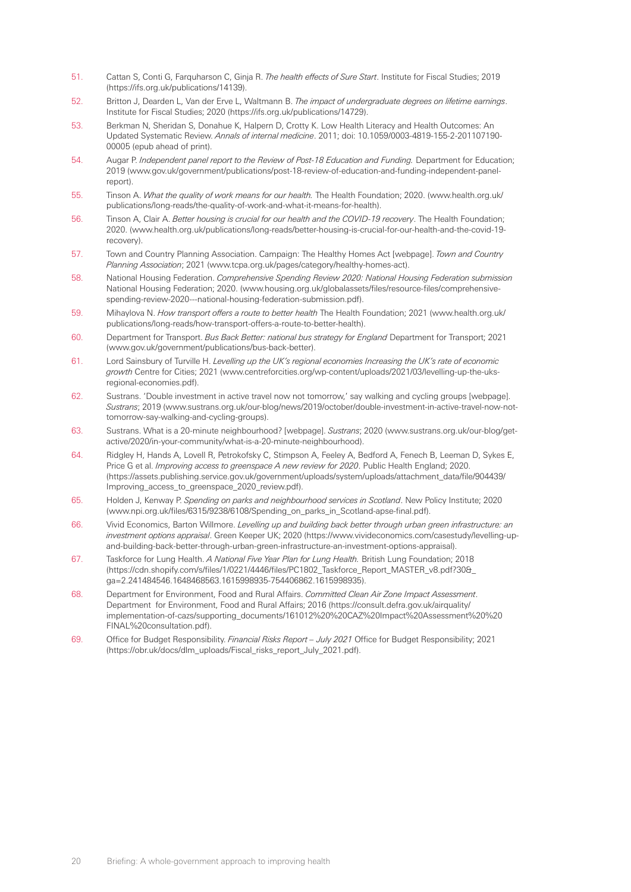- <span id="page-19-9"></span><span id="page-19-8"></span><span id="page-19-7"></span><span id="page-19-6"></span><span id="page-19-5"></span><span id="page-19-4"></span><span id="page-19-3"></span><span id="page-19-2"></span><span id="page-19-1"></span><span id="page-19-0"></span>51. Cattan S, Conti G, Farquharson C, Ginja R. *The health effects of Sure Start*. Institute for Fiscal Studies; 2019 (https://ifs.org.uk/publications/14139).
- <span id="page-19-10"></span>52. Britton J, Dearden L, Van der Erve L, Waltmann B. *The impact of undergraduate degrees on lifetime earnings*. Institute for Fiscal Studies; 2020 [\(https://ifs.org.uk/publications/14729](https://ifs.org.uk/publications/14729)).
- <span id="page-19-11"></span>53. Berkman N, Sheridan S, Donahue K, Halpern D, Crotty K. Low Health Literacy and Health Outcomes: An Updated Systematic Review. *Annals of internal medicine*. 2011; doi: 10.1059/0003-4819-155-2-201107190- 00005 (epub ahead of print).
- <span id="page-19-12"></span>54. Augar P. *Independent panel report to the Review of Post-18 Education and Funding.* Department for Education; 2019 [\(www.gov.uk/government/publications/post-18-review-of-education-and-funding-independent-panel](http://www.gov.uk/government/publications/post-18-review-of-education-and-funding-independent-panel-report)[report\)](http://www.gov.uk/government/publications/post-18-review-of-education-and-funding-independent-panel-report).
- <span id="page-19-13"></span>55. Tinson A. *What the quality of work means for our health.* The Health Foundation; 2020. ([www.health.org.uk/](http://www.health.org.uk/publications/long-reads/the-quality-of-work-and-what-it-means-for-health)  [publications/long-reads/the-quality-of-work-and-what-it-means-for-health\)](http://www.health.org.uk/publications/long-reads/the-quality-of-work-and-what-it-means-for-health).
- 56. Tinson A, Clair A. *Better housing is crucial for our health and the COVID-19 recovery*. The Health Foundation; 2020. ([www.health.org.uk/publications/long-reads/better-housing-is-crucial-for-our-health-and-the-covid-19](http://www.health.org.uk/publications/long-reads/better-housing-is-crucial-for-our-health-and-the-covid-19- recovery)  [recovery\)](http://www.health.org.uk/publications/long-reads/better-housing-is-crucial-for-our-health-and-the-covid-19- recovery).
- <span id="page-19-15"></span><span id="page-19-14"></span>57. Town and Country Planning Association. Campaign: The Healthy Homes Act [webpage]. *Town and Country Planning Association*; 2021 ([www.tcpa.org.uk/pages/category/healthy-homes-act](http://www.tcpa.org.uk/pages/category/healthy-homes-act)).
- 58. National Housing Federation. *Comprehensive Spending Review 2020: National Housing Federation submission*  National Housing Federation; 2020. [\(www.housing.org.uk/globalassets/files/resource-files/comprehensive](http://www.housing.org.uk/globalassets/files/resource-files/comprehensive-spending-review-2020---national-housing-federation-submission.pdf)[spending-review-2020---national-housing-federation-submission.pdf](http://www.housing.org.uk/globalassets/files/resource-files/comprehensive-spending-review-2020---national-housing-federation-submission.pdf)).
- <span id="page-19-16"></span>59. Mihaylova N. *How transport offers a route to better health* The Health Foundation; 2021 ([www.health.org.uk/](http://www.health.org.uk/publications/long-reads/how-transport-offers-a-route-to-better-health) [publications/long-reads/how-transport-offers-a-route-to-better-health\)](http://www.health.org.uk/publications/long-reads/how-transport-offers-a-route-to-better-health).
- <span id="page-19-17"></span>60. Department for Transport. *Bus Back Better: national bus strategy for England* Department for Transport; 2021 ([www.gov.uk/government/publications/bus-back-better\)](http://www.gov.uk/government/publications/bus-back-better).
- <span id="page-19-18"></span>61. Lord Sainsbury of Turville H. *Levelling up the UK's regional economies Increasing the UK's rate of economic growth* Centre for Cities; 2021 [\(www.centreforcities.org/wp-content/uploads/2021/03/levelling-up-the-uks](http://www.centreforcities.org/wp-content/uploads/2021/03/levelling-up-the-uks-regional-economies.pdf)[regional-economies.pdf](http://www.centreforcities.org/wp-content/uploads/2021/03/levelling-up-the-uks-regional-economies.pdf)).
- 62. Sustrans. 'Double investment in active travel now not tomorrow,' say walking and cycling groups [webpage]. *Sustrans*; 2019 [\(www.sustrans.org.uk/our-blog/news/2019/october/double-investment-in-active-travel-now-not](http://www.sustrans.org.uk/our-blog/news/2019/october/double-investment-in-active-travel-now-not-tomorrow-say-walking-and-cycling-groups)[tomorrow-say-walking-and-cycling-groups](http://www.sustrans.org.uk/our-blog/news/2019/october/double-investment-in-active-travel-now-not-tomorrow-say-walking-and-cycling-groups)).
- 63. Sustrans. What is a 20-minute neighbourhood? [webpage]. *Sustrans*; 2020 ([www.sustrans.org.uk/our-blog/get](http://www.sustrans.org.uk/our-blog/get-active/2020/in-your-community/what-is-a-20-minute-neighbourhood)[active/2020/in-your-community/what-is-a-20-minute-neighbourhood](http://www.sustrans.org.uk/our-blog/get-active/2020/in-your-community/what-is-a-20-minute-neighbourhood)).
- 64. Ridgley H, Hands A, Lovell R, Petrokofsky C, Stimpson A, Feeley A, Bedford A, Fenech B, Leeman D, Sykes E, Price G et al. *Improving access to greenspace A new review for 2020*. Public Health England; 2020. ([https://assets.publishing.service.gov.uk/government/uploads/system/uploads/attachment\\_data/file/904439/](https://assets.publishing.service.gov.uk/government/uploads/system/uploads/attachment_data/file/904439/Improving_access_to_greenspace_2020_review.pdf) [Improving\\_access\\_to\\_greenspace\\_2020\\_review.pdf\)](https://assets.publishing.service.gov.uk/government/uploads/system/uploads/attachment_data/file/904439/Improving_access_to_greenspace_2020_review.pdf).
- 65. Holden J, Kenway P. *Spending on parks and neighbourhood services in Scotland*. New Policy Institute; 2020 ([www.npi.org.uk/files/6315/9238/6108/Spending\\_on\\_parks\\_in\\_Scotland-apse-final.pdf](http://www.npi.org.uk/files/6315/9238/6108/Spending_on_parks_in_Scotland-apse-final.pdf)).
- 66. Vivid Economics, Barton Willmore. *Levelling up and building back better through urban green infrastructure: an investment options appraisal*. Green Keeper UK; 2020 [\(https://www.vivideconomics.com/casestudy/levelling-up](https://www.vivideconomics.com/casestudy/levelling-up-and-building-back-better-through-urban-green-infrastructure-an-investment-options-appraisal)[and-building-back-better-through-urban-green-infrastructure-an-investment-options-appraisal\)](https://www.vivideconomics.com/casestudy/levelling-up-and-building-back-better-through-urban-green-infrastructure-an-investment-options-appraisal).
- 67. Taskforce for Lung Health. *A National Five Year Plan for Lung Health.* British Lung Foundation; 2018 ([https://cdn.shopify.com/s/files/1/0221/4446/files/PC1802\\_Taskforce\\_Report\\_MASTER\\_v8.pdf?30&\\_](https://cdn.shopify.com/s/files/1/0221/4446/files/PC1802_Taskforce_Report_MASTER_v8.pdf?30&_ga=2.241484546.1648468563.1615998935-754406862.1615998935) [ga=2.241484546.1648468563.1615998935-754406862.1615998935](https://cdn.shopify.com/s/files/1/0221/4446/files/PC1802_Taskforce_Report_MASTER_v8.pdf?30&_ga=2.241484546.1648468563.1615998935-754406862.1615998935)).
- 68. Department for Environment, Food and Rural Affairs. *Committed Clean Air Zone Impact Assessment*. Department for Environment, Food and Rural Affairs; 2016 [\(https://consult.defra.gov.uk/airquality/](https://consult.defra.gov.uk/airquality/implementation-of-cazs/supporting_documents/161012%20%20CAZ%20Impact%20Assessment%20%20FINAL%20consultation.pdf) [implementation-of-cazs/supporting\\_documents/161012%20%20CAZ%20Impact%20Assessment%20%20](https://consult.defra.gov.uk/airquality/implementation-of-cazs/supporting_documents/161012%20%20CAZ%20Impact%20Assessment%20%20FINAL%20consultation.pdf) [FINAL%20consultation.pdf](https://consult.defra.gov.uk/airquality/implementation-of-cazs/supporting_documents/161012%20%20CAZ%20Impact%20Assessment%20%20FINAL%20consultation.pdf)).
- 69. Office for Budget Responsibility. *Financial Risks Report July 2021* Office for Budget Responsibility; 2021 ([https://obr.uk/docs/dlm\\_uploads/Fiscal\\_risks\\_report\\_July\\_2021.pdf](https://obr.uk/docs/dlm_uploads/Fiscal_risks_report_July_2021.pdf)).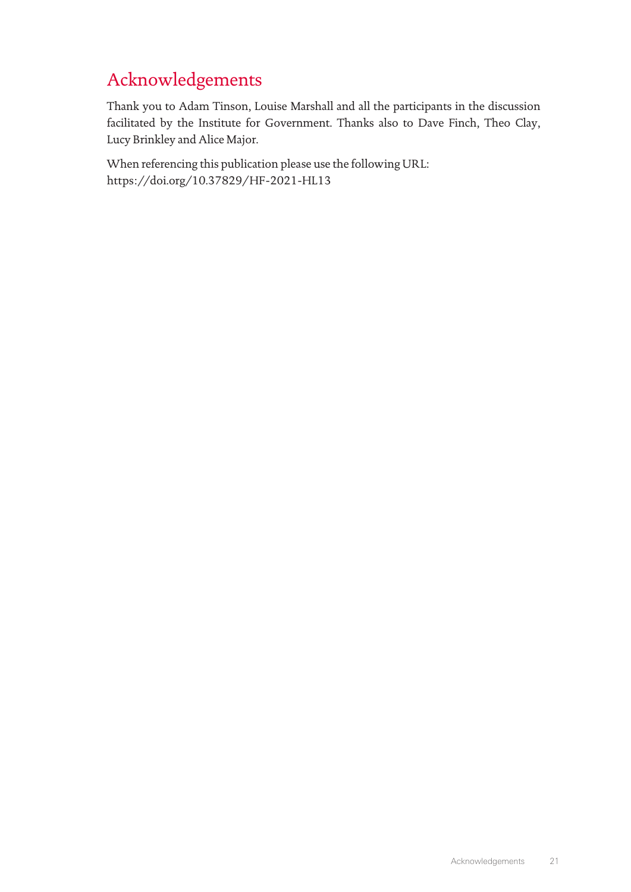# Acknowledgements

Thank you to Adam Tinson, Louise Marshall and all the participants in the discussion facilitated by the Institute for Government. Thanks also to Dave Finch, Theo Clay, Lucy Brinkley and Alice Major.

When referencing this publication please use the following URL: <https://doi.org/10.37829/HF-2021-HL13>